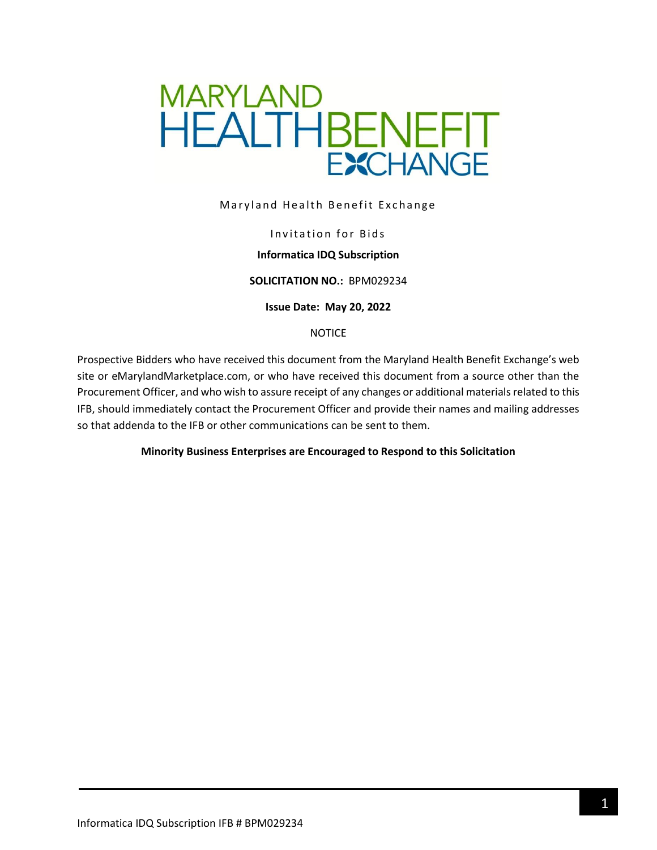

Maryland Health Benefit Exchange

### Invitation for Bids

### **Informatica IDQ Subscription**

#### **SOLICITATION NO.:** BPM029234

**Issue Date: May 20, 2022**

#### NOTICE

Prospective Bidders who have received this document from the Maryland Health Benefit Exchange's web site or eMarylandMarketplace.com, or who have received this document from a source other than the Procurement Officer, and who wish to assure receipt of any changes or additional materials related to this IFB, should immediately contact the Procurement Officer and provide their names and mailing addresses so that addenda to the IFB or other communications can be sent to them.

### **Minority Business Enterprises are Encouraged to Respond to this Solicitation**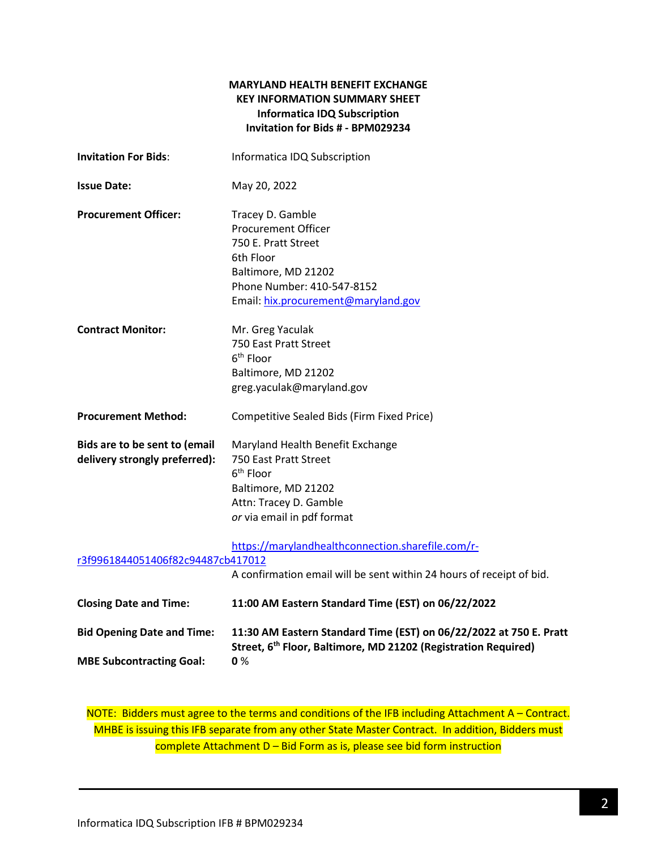### **MARYLAND HEALTH BENEFIT EXCHANGE KEY INFORMATION SUMMARY SHEET Informatica IDQ Subscription Invitation for Bids # - BPM029234**

| <b>Invitation For Bids:</b>                                          | Informatica IDQ Subscription                                                                                                                                                   |
|----------------------------------------------------------------------|--------------------------------------------------------------------------------------------------------------------------------------------------------------------------------|
| <b>Issue Date:</b>                                                   | May 20, 2022                                                                                                                                                                   |
| <b>Procurement Officer:</b>                                          | Tracey D. Gamble<br><b>Procurement Officer</b><br>750 E. Pratt Street<br>6th Floor<br>Baltimore, MD 21202<br>Phone Number: 410-547-8152<br>Email: hix.procurement@maryland.gov |
| <b>Contract Monitor:</b>                                             | Mr. Greg Yaculak<br>750 East Pratt Street<br>$6th$ Floor<br>Baltimore, MD 21202<br>greg.yaculak@maryland.gov                                                                   |
| <b>Procurement Method:</b>                                           | Competitive Sealed Bids (Firm Fixed Price)                                                                                                                                     |
| Bids are to be sent to (email<br>delivery strongly preferred):       | Maryland Health Benefit Exchange<br>750 East Pratt Street<br>6 <sup>th</sup> Floor<br>Baltimore, MD 21202<br>Attn: Tracey D. Gamble<br>or via email in pdf format              |
| r3f9961844051406f82c94487cb417012                                    | https://marylandhealthconnection.sharefile.com/r-<br>A confirmation email will be sent within 24 hours of receipt of bid.                                                      |
| <b>Closing Date and Time:</b>                                        | 11:00 AM Eastern Standard Time (EST) on 06/22/2022                                                                                                                             |
| <b>Bid Opening Date and Time:</b><br><b>MBE Subcontracting Goal:</b> | 11:30 AM Eastern Standard Time (EST) on 06/22/2022 at 750 E. Pratt<br>Street, 6 <sup>th</sup> Floor, Baltimore, MD 21202 (Registration Required)<br>0%                         |

NOTE: Bidders must agree to the terms and conditions of the IFB including Attachment A – Contract. MHBE is issuing this IFB separate from any other State Master Contract. In addition, Bidders must complete Attachment D – Bid Form as is, please see bid form instruction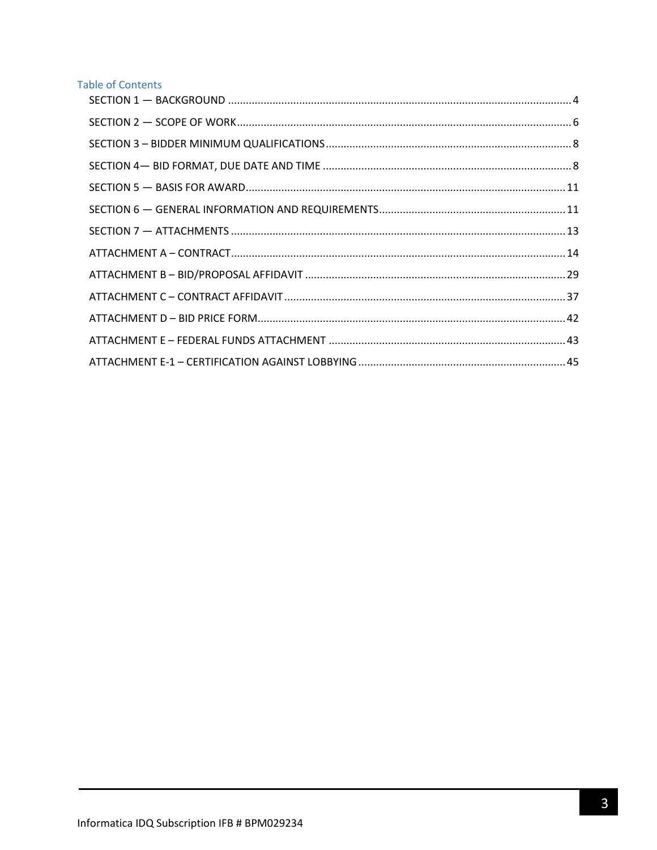## **Table of Contents**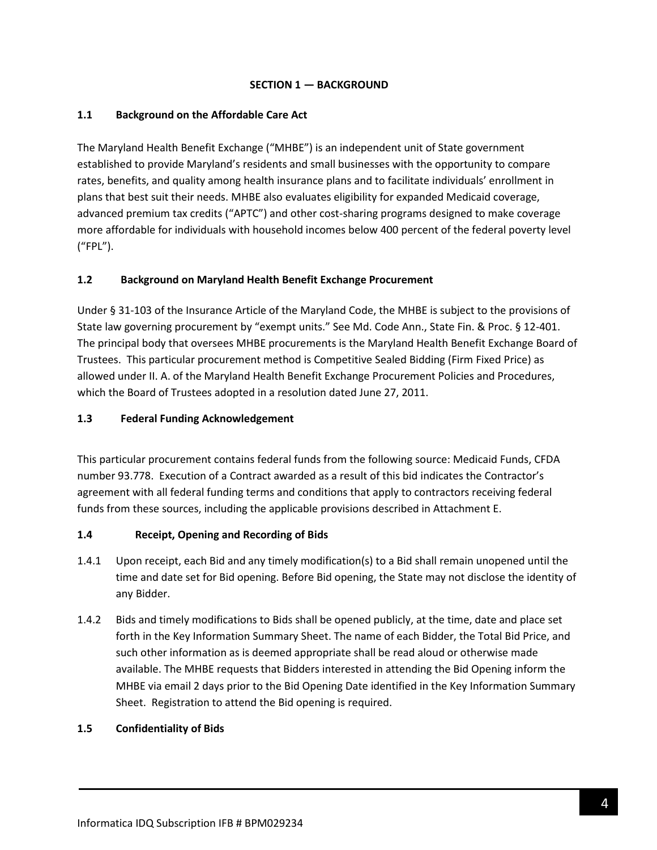### **SECTION 1 — BACKGROUND**

### <span id="page-3-0"></span>**1.1 Background on the Affordable Care Act**

The Maryland Health Benefit Exchange ("MHBE") is an independent unit of State government established to provide Maryland's residents and small businesses with the opportunity to compare rates, benefits, and quality among health insurance plans and to facilitate individuals' enrollment in plans that best suit their needs. MHBE also evaluates eligibility for expanded Medicaid coverage, advanced premium tax credits ("APTC") and other cost-sharing programs designed to make coverage more affordable for individuals with household incomes below 400 percent of the federal poverty level ("FPL").

## **1.2 Background on Maryland Health Benefit Exchange Procurement**

Under § 31-103 of the Insurance Article of the Maryland Code, the MHBE is subject to the provisions of State law governing procurement by "exempt units." See Md. Code Ann., State Fin. & Proc. § 12-401. The principal body that oversees MHBE procurements is the Maryland Health Benefit Exchange Board of Trustees. This particular procurement method is Competitive Sealed Bidding (Firm Fixed Price) as allowed under II. A. of the Maryland Health Benefit Exchange Procurement Policies and Procedures, which the Board of Trustees adopted in a resolution dated June 27, 2011.

### **1.3 Federal Funding Acknowledgement**

This particular procurement contains federal funds from the following source: Medicaid Funds, CFDA number 93.778. Execution of a Contract awarded as a result of this bid indicates the Contractor's agreement with all federal funding terms and conditions that apply to contractors receiving federal funds from these sources, including the applicable provisions described in Attachment E.

### **1.4 Receipt, Opening and Recording of Bids**

- 1.4.1 Upon receipt, each Bid and any timely modification(s) to a Bid shall remain unopened until the time and date set for Bid opening. Before Bid opening, the State may not disclose the identity of any Bidder.
- 1.4.2 Bids and timely modifications to Bids shall be opened publicly, at the time, date and place set forth in the Key Information Summary Sheet. The name of each Bidder, the Total Bid Price, and such other information as is deemed appropriate shall be read aloud or otherwise made available. The MHBE requests that Bidders interested in attending the Bid Opening inform the MHBE via email 2 days prior to the Bid Opening Date identified in the Key Information Summary Sheet. Registration to attend the Bid opening is required.

### **1.5 Confidentiality of Bids**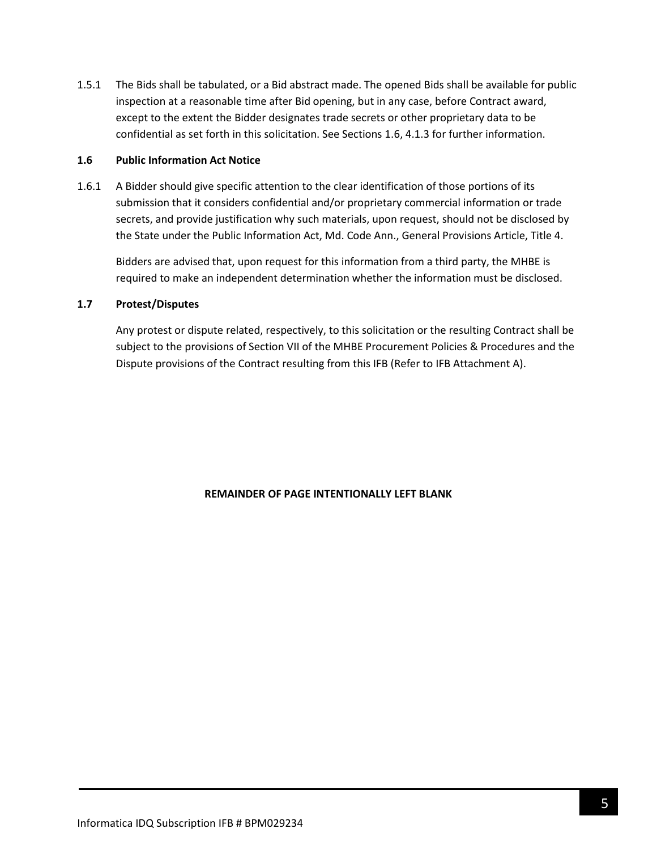1.5.1 The Bids shall be tabulated, or a Bid abstract made. The opened Bids shall be available for public inspection at a reasonable time after Bid opening, but in any case, before Contract award, except to the extent the Bidder designates trade secrets or other proprietary data to be confidential as set forth in this solicitation. See Sections 1.6, 4.1.3 for further information.

#### **1.6 Public Information Act Notice**

1.6.1 A Bidder should give specific attention to the clear identification of those portions of its submission that it considers confidential and/or proprietary commercial information or trade secrets, and provide justification why such materials, upon request, should not be disclosed by the State under the Public Information Act, Md. Code Ann., General Provisions Article, Title 4.

Bidders are advised that, upon request for this information from a third party, the MHBE is required to make an independent determination whether the information must be disclosed.

### **1.7 Protest/Disputes**

Any protest or dispute related, respectively, to this solicitation or the resulting Contract shall be subject to the provisions of Section VII of the MHBE Procurement Policies & Procedures and the Dispute provisions of the Contract resulting from this IFB (Refer to IFB Attachment A).

### **REMAINDER OF PAGE INTENTIONALLY LEFT BLANK**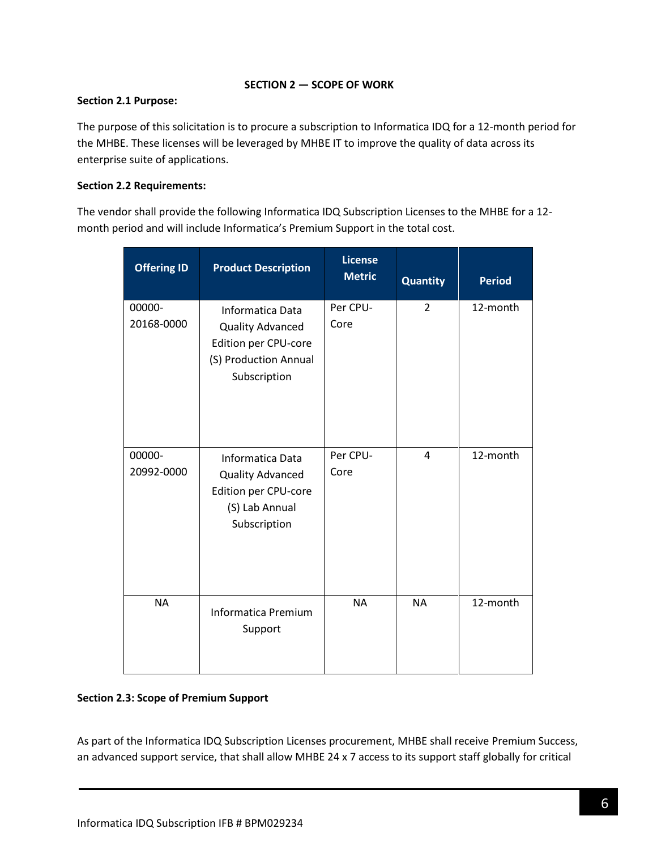### **SECTION 2 — SCOPE OF WORK**

### <span id="page-5-0"></span>**Section 2.1 Purpose:**

The purpose of this solicitation is to procure a subscription to Informatica IDQ for a 12-month period for the MHBE. These licenses will be leveraged by MHBE IT to improve the quality of data across its enterprise suite of applications.

## **Section 2.2 Requirements:**

The vendor shall provide the following Informatica IDQ Subscription Licenses to the MHBE for a 12 month period and will include Informatica's Premium Support in the total cost.

| <b>Offering ID</b>   | <b>Product Description</b>                                                                                   | <b>License</b><br><b>Metric</b> | <b>Quantity</b> | <b>Period</b> |
|----------------------|--------------------------------------------------------------------------------------------------------------|---------------------------------|-----------------|---------------|
| 00000-<br>20168-0000 | Informatica Data<br><b>Quality Advanced</b><br>Edition per CPU-core<br>(S) Production Annual<br>Subscription | Per CPU-<br>Core                | $\overline{2}$  | 12-month      |
| 00000-<br>20992-0000 | Informatica Data<br><b>Quality Advanced</b><br>Edition per CPU-core<br>(S) Lab Annual<br>Subscription        | Per CPU-<br>Core                | 4               | 12-month      |
| <b>NA</b>            | <b>Informatica Premium</b><br>Support                                                                        | <b>NA</b>                       | <b>NA</b>       | 12-month      |

## **Section 2.3: Scope of Premium Support**

As part of the Informatica IDQ Subscription Licenses procurement, MHBE shall receive Premium Success, an advanced support service, that shall allow MHBE 24 x 7 access to its support staff globally for critical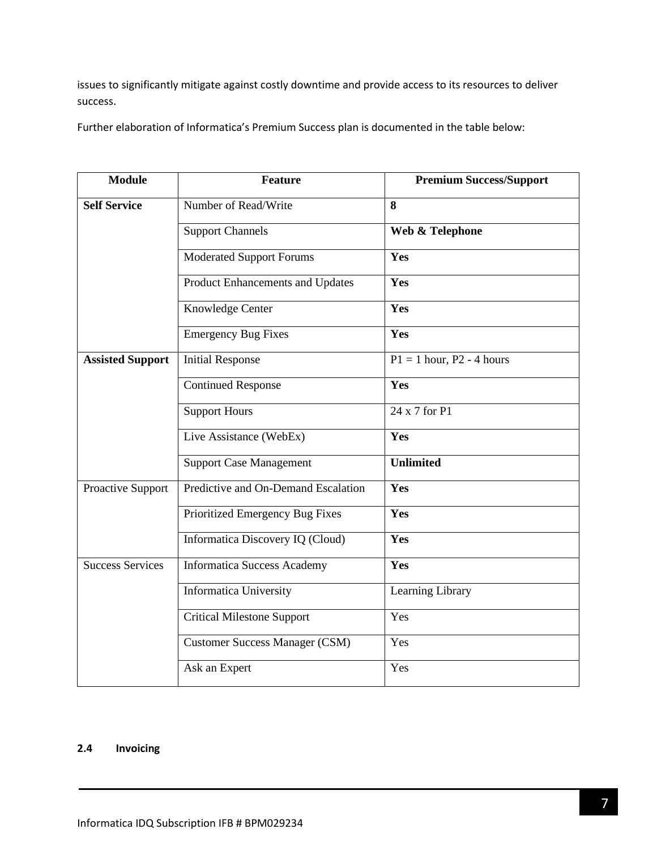issues to significantly mitigate against costly downtime and provide access to its resources to deliver success.

Further elaboration of Informatica's Premium Success plan is documented in the table below:

| <b>Module</b>           | <b>Feature</b>                        | <b>Premium Success/Support</b> |
|-------------------------|---------------------------------------|--------------------------------|
| <b>Self Service</b>     | Number of Read/Write                  | 8                              |
|                         | <b>Support Channels</b>               | Web & Telephone                |
|                         | <b>Moderated Support Forums</b>       | Yes                            |
|                         | Product Enhancements and Updates      | Yes                            |
|                         | Knowledge Center                      | Yes                            |
|                         | <b>Emergency Bug Fixes</b>            | Yes                            |
| <b>Assisted Support</b> | <b>Initial Response</b>               | $P1 = 1$ hour, $P2 - 4$ hours  |
|                         | <b>Continued Response</b>             | Yes                            |
|                         | <b>Support Hours</b>                  | 24 x 7 for P1                  |
|                         | Live Assistance (WebEx)               | Yes                            |
|                         | <b>Support Case Management</b>        | <b>Unlimited</b>               |
| Proactive Support       | Predictive and On-Demand Escalation   | Yes                            |
|                         | Prioritized Emergency Bug Fixes       | Yes                            |
|                         | Informatica Discovery IQ (Cloud)      | Yes                            |
| <b>Success Services</b> | Informatica Success Academy           | Yes                            |
|                         | <b>Informatica University</b>         | Learning Library               |
|                         | <b>Critical Milestone Support</b>     | Yes                            |
|                         | <b>Customer Success Manager (CSM)</b> | Yes                            |
|                         | Ask an Expert                         | Yes                            |

### **2.4 Invoicing**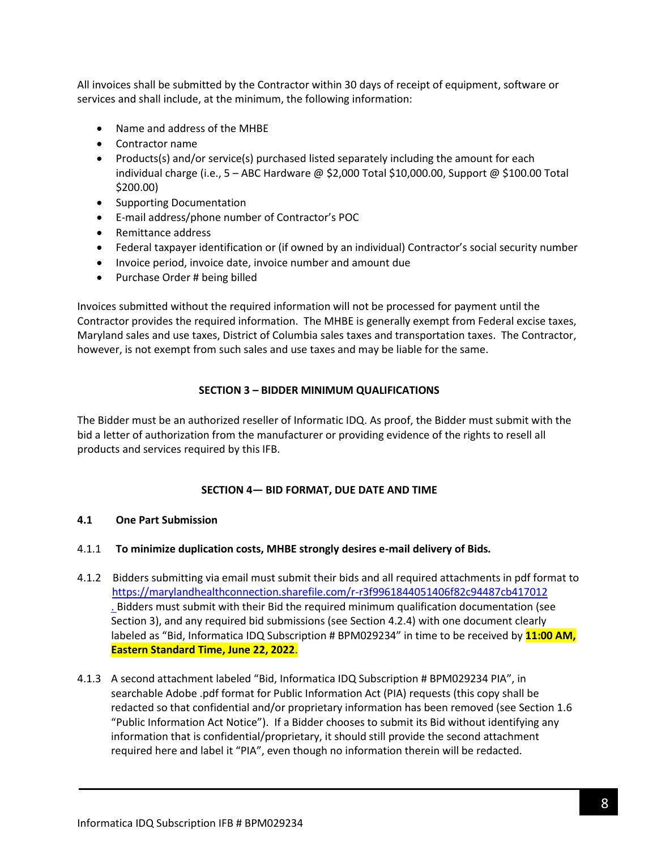All invoices shall be submitted by the Contractor within 30 days of receipt of equipment, software or services and shall include, at the minimum, the following information:

- Name and address of the MHBE
- Contractor name
- Products(s) and/or service(s) purchased listed separately including the amount for each individual charge (i.e., 5 – ABC Hardware @ \$2,000 Total \$10,000.00, Support @ \$100.00 Total \$200.00)
- Supporting Documentation
- E-mail address/phone number of Contractor's POC
- Remittance address
- Federal taxpayer identification or (if owned by an individual) Contractor's social security number
- Invoice period, invoice date, invoice number and amount due
- Purchase Order # being billed

Invoices submitted without the required information will not be processed for payment until the Contractor provides the required information. The MHBE is generally exempt from Federal excise taxes, Maryland sales and use taxes, District of Columbia sales taxes and transportation taxes. The Contractor, however, is not exempt from such sales and use taxes and may be liable for the same.

## **SECTION 3 – BIDDER MINIMUM QUALIFICATIONS**

<span id="page-7-0"></span>The Bidder must be an authorized reseller of Informatic IDQ. As proof, the Bidder must submit with the bid a letter of authorization from the manufacturer or providing evidence of the rights to resell all products and services required by this IFB.

### **SECTION 4— BID FORMAT, DUE DATE AND TIME**

### <span id="page-7-1"></span>**4.1 One Part Submission**

- 4.1.1 **To minimize duplication costs, MHBE strongly desires e-mail delivery of Bids***.*
- 4.1.2 Bidders submitting via email must submit their bids and all required attachments in pdf format to <https://marylandhealthconnection.sharefile.com/r-r3f9961844051406f82c94487cb417012> . Bidders must submit with their Bid the required minimum qualification documentation (see Section 3), and any required bid submissions (see Section 4.2.4) with one document clearly labeled as "Bid, Informatica IDQ Subscription # BPM029234" in time to be received by **11:00 AM, Eastern Standard Time, June 22, 2022**.
- 4.1.3 A second attachment labeled "Bid, Informatica IDQ Subscription # BPM029234 PIA", in searchable Adobe .pdf format for Public Information Act (PIA) requests (this copy shall be redacted so that confidential and/or proprietary information has been removed (see Section 1.6 "Public Information Act Notice"). If a Bidder chooses to submit its Bid without identifying any information that is confidential/proprietary, it should still provide the second attachment required here and label it "PIA", even though no information therein will be redacted.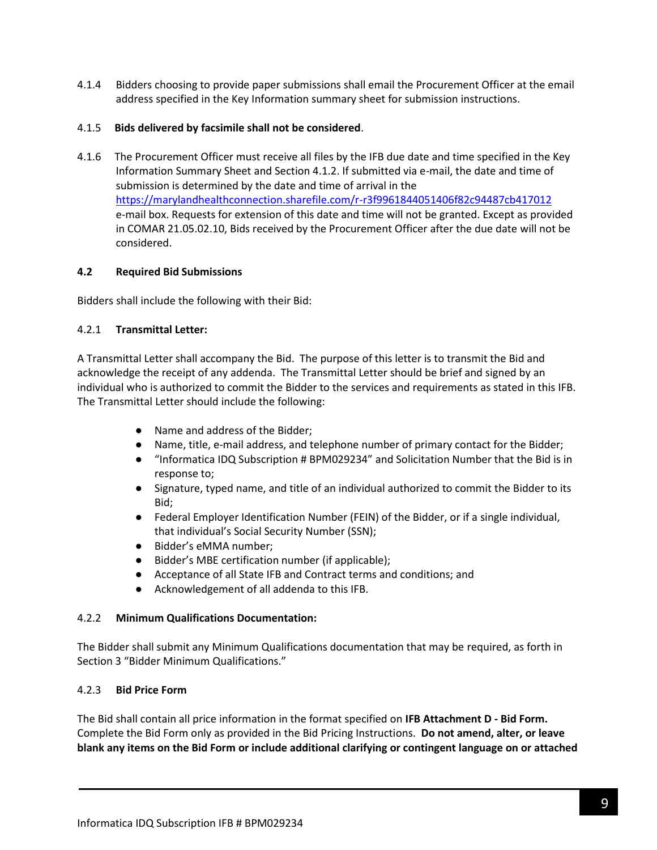4.1.4 Bidders choosing to provide paper submissions shall email the Procurement Officer at the email address specified in the Key Information summary sheet for submission instructions.

### 4.1.5 **Bids delivered by facsimile shall not be considered**.

4.1.6 The Procurement Officer must receive all files by the IFB due date and time specified in the Key Information Summary Sheet and Section 4.1.2. If submitted via e-mail, the date and time of submission is determined by the date and time of arrival in the <https://marylandhealthconnection.sharefile.com/r-r3f9961844051406f82c94487cb417012> e-mail box. Requests for extension of this date and time will not be granted. Except as provided in COMAR 21.05.02.10, Bids received by the Procurement Officer after the due date will not be considered.

### **4.2 Required Bid Submissions**

Bidders shall include the following with their Bid:

### 4.2.1 **Transmittal Letter:**

A Transmittal Letter shall accompany the Bid. The purpose of this letter is to transmit the Bid and acknowledge the receipt of any addenda. The Transmittal Letter should be brief and signed by an individual who is authorized to commit the Bidder to the services and requirements as stated in this IFB. The Transmittal Letter should include the following:

- Name and address of the Bidder;
- Name, title, e-mail address, and telephone number of primary contact for the Bidder;
- "Informatica IDQ Subscription # BPM029234" and Solicitation Number that the Bid is in response to;
- Signature, typed name, and title of an individual authorized to commit the Bidder to its Bid;
- Federal Employer Identification Number (FEIN) of the Bidder, or if a single individual, that individual's Social Security Number (SSN);
- Bidder's eMMA number;
- Bidder's MBE certification number (if applicable);
- Acceptance of all State IFB and Contract terms and conditions; and
- Acknowledgement of all addenda to this IFB.

### 4.2.2 **Minimum Qualifications Documentation:**

The Bidder shall submit any Minimum Qualifications documentation that may be required, as forth in Section 3 "Bidder Minimum Qualifications."

### 4.2.3 **Bid Price Form**

The Bid shall contain all price information in the format specified on **IFB Attachment D - Bid Form.** Complete the Bid Form only as provided in the Bid Pricing Instructions. **Do not amend, alter, or leave blank any items on the Bid Form or include additional clarifying or contingent language on or attached**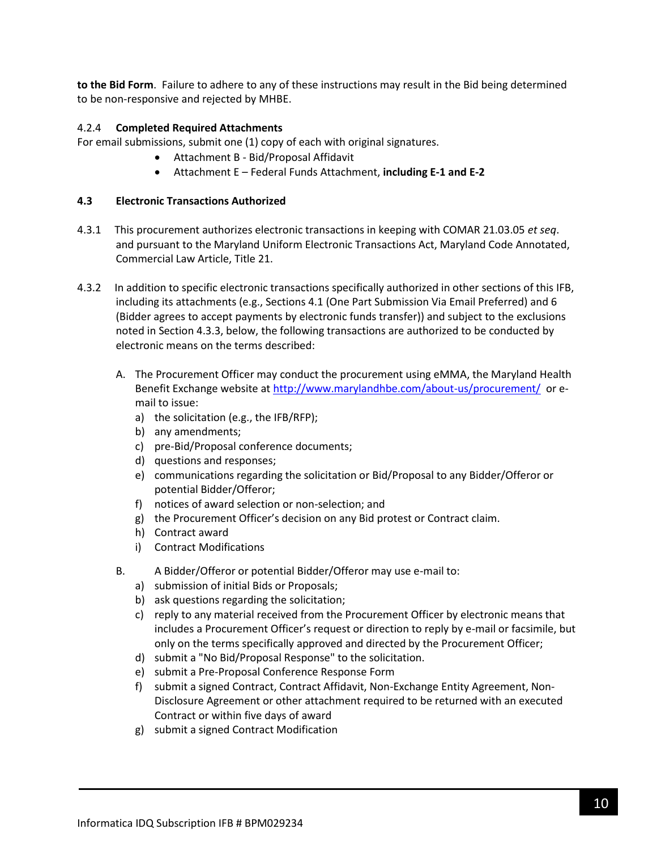**to the Bid Form**. Failure to adhere to any of these instructions may result in the Bid being determined to be non-responsive and rejected by MHBE.

### 4.2.4 **Completed Required Attachments**

For email submissions, submit one (1) copy of each with original signatures.

- Attachment B Bid/Proposal Affidavit
- Attachment E Federal Funds Attachment, **including E-1 and E-2**

### **4.3 Electronic Transactions Authorized**

- 4.3.1 This procurement authorizes electronic transactions in keeping with COMAR 21.03.05 *et seq*. and pursuant to the Maryland Uniform Electronic Transactions Act, Maryland Code Annotated, Commercial Law Article, Title 21.
- 4.3.2 In addition to specific electronic transactions specifically authorized in other sections of this IFB, including its attachments (e.g., Sections 4.1 (One Part Submission Via Email Preferred) and 6 (Bidder agrees to accept payments by electronic funds transfer)) and subject to the exclusions noted in Section 4.3.3, below, the following transactions are authorized to be conducted by electronic means on the terms described:
	- A. The Procurement Officer may conduct the procurement using eMMA, the Maryland Health Benefit Exchange website a[t http://www.marylandhbe.com/about-us/procurement/](http://www.marylandhbe.com/about-us/procurement/) or email to issue:
		- a) the solicitation (e.g., the IFB/RFP);
		- b) any amendments;
		- c) pre-Bid/Proposal conference documents;
		- d) questions and responses;
		- e) communications regarding the solicitation or Bid/Proposal to any Bidder/Offeror or potential Bidder/Offeror;
		- f) notices of award selection or non-selection; and
		- g) the Procurement Officer's decision on any Bid protest or Contract claim.
		- h) Contract award
		- i) Contract Modifications
	- B. A Bidder/Offeror or potential Bidder/Offeror may use e-mail to:
		- a) submission of initial Bids or Proposals;
		- b) ask questions regarding the solicitation;
		- c) reply to any material received from the Procurement Officer by electronic means that includes a Procurement Officer's request or direction to reply by e-mail or facsimile, but only on the terms specifically approved and directed by the Procurement Officer;
		- d) submit a "No Bid/Proposal Response" to the solicitation.
		- e) submit a Pre-Proposal Conference Response Form
		- f) submit a signed Contract, Contract Affidavit, Non-Exchange Entity Agreement, Non-Disclosure Agreement or other attachment required to be returned with an executed Contract or within five days of award
		- g) submit a signed Contract Modification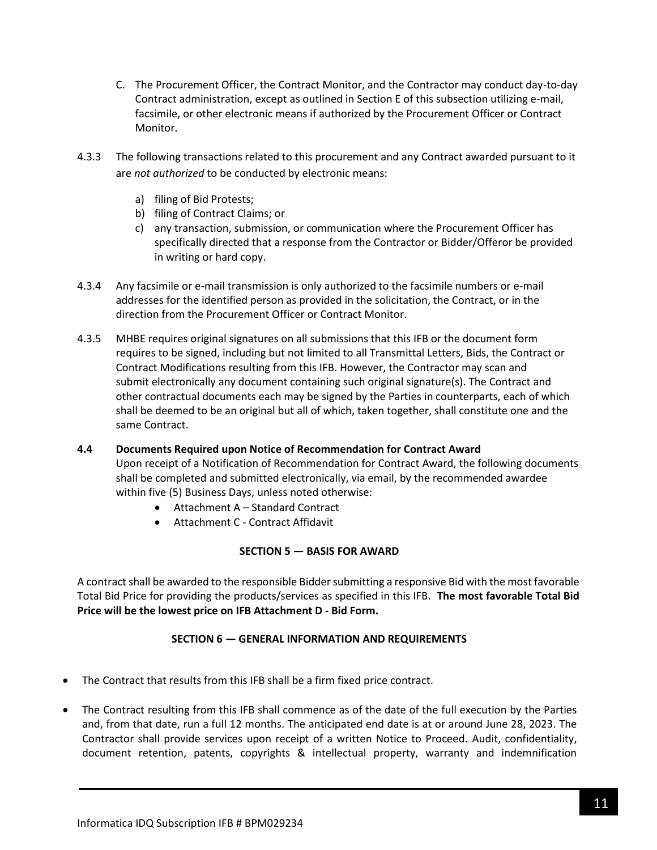- C. The Procurement Officer, the Contract Monitor, and the Contractor may conduct day-to-day Contract administration, except as outlined in Section E of this subsection utilizing e-mail, facsimile, or other electronic means if authorized by the Procurement Officer or Contract Monitor.
- 4.3.3 The following transactions related to this procurement and any Contract awarded pursuant to it are *not authorized* to be conducted by electronic means:
	- a) filing of Bid Protests;
	- b) filing of Contract Claims; or
	- c) any transaction, submission, or communication where the Procurement Officer has specifically directed that a response from the Contractor or Bidder/Offeror be provided in writing or hard copy.
- 4.3.4 Any facsimile or e-mail transmission is only authorized to the facsimile numbers or e-mail addresses for the identified person as provided in the solicitation, the Contract, or in the direction from the Procurement Officer or Contract Monitor.
- 4.3.5 MHBE requires original signatures on all submissions that this IFB or the document form requires to be signed, including but not limited to all Transmittal Letters, Bids, the Contract or Contract Modifications resulting from this IFB. However, the Contractor may scan and submit electronically any document containing such original signature(s). The Contract and other contractual documents each may be signed by the Parties in counterparts, each of which shall be deemed to be an original but all of which, taken together, shall constitute one and the same Contract.

# **4.4 Documents Required upon Notice of Recommendation for Contract Award** Upon receipt of a Notification of Recommendation for Contract Award, the following documents shall be completed and submitted electronically, via email, by the recommended awardee within five (5) Business Days, unless noted otherwise:

- Attachment A Standard Contract
- Attachment C Contract Affidavit

### **SECTION 5 — BASIS FOR AWARD**

<span id="page-10-0"></span>A contract shall be awarded to the responsible Bidder submitting a responsive Bid with the most favorable Total Bid Price for providing the products/services as specified in this IFB. **The most favorable Total Bid Price will be the lowest price on IFB Attachment D - Bid Form.**

### **SECTION 6 — GENERAL INFORMATION AND REQUIREMENTS**

- <span id="page-10-1"></span>• The Contract that results from this IFB shall be a firm fixed price contract.
- The Contract resulting from this IFB shall commence as of the date of the full execution by the Parties and, from that date, run a full 12 months. The anticipated end date is at or around June 28, 2023. The Contractor shall provide services upon receipt of a written Notice to Proceed. Audit, confidentiality, document retention, patents, copyrights & intellectual property, warranty and indemnification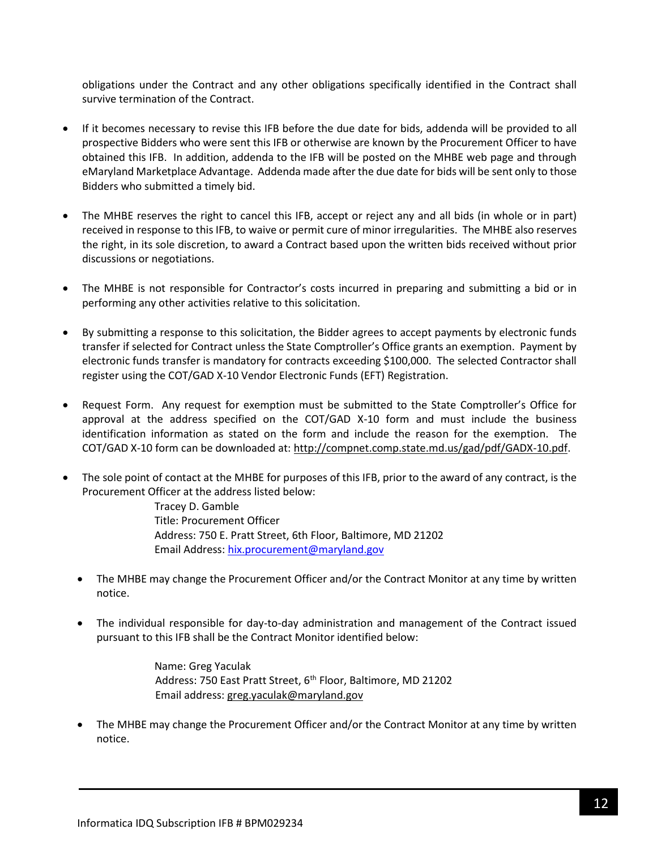obligations under the Contract and any other obligations specifically identified in the Contract shall survive termination of the Contract.

- If it becomes necessary to revise this IFB before the due date for bids, addenda will be provided to all prospective Bidders who were sent this IFB or otherwise are known by the Procurement Officer to have obtained this IFB. In addition, addenda to the IFB will be posted on the MHBE web page and through eMaryland Marketplace Advantage. Addenda made after the due date for bids will be sent only to those Bidders who submitted a timely bid.
- The MHBE reserves the right to cancel this IFB, accept or reject any and all bids (in whole or in part) received in response to this IFB, to waive or permit cure of minor irregularities. The MHBE also reserves the right, in its sole discretion, to award a Contract based upon the written bids received without prior discussions or negotiations.
- The MHBE is not responsible for Contractor's costs incurred in preparing and submitting a bid or in performing any other activities relative to this solicitation.
- By submitting a response to this solicitation, the Bidder agrees to accept payments by electronic funds transfer if selected for Contract unless the State Comptroller's Office grants an exemption. Payment by electronic funds transfer is mandatory for contracts exceeding \$100,000. The selected Contractor shall register using the COT/GAD X-10 Vendor Electronic Funds (EFT) Registration.
- Request Form. Any request for exemption must be submitted to the State Comptroller's Office for approval at the address specified on the COT/GAD X-10 form and must include the business identification information as stated on the form and include the reason for the exemption. The COT/GAD X-10 form can be downloaded at[: http://compnet.comp.state.md.us/gad/pdf/GADX-10.pdf.](http://compnet.comp.state.md.us/gad/pdf/GADX-10.pdf)
- The sole point of contact at the MHBE for purposes of this IFB, prior to the award of any contract, is the Procurement Officer at the address listed below:

Tracey D. Gamble Title: Procurement Officer Address: 750 E. Pratt Street, 6th Floor, Baltimore, MD 21202 Email Address: [hix.procurement@maryland.gov](mailto:hix.procurement@maryland.gov)

- The MHBE may change the Procurement Officer and/or the Contract Monitor at any time by written notice.
- The individual responsible for day-to-day administration and management of the Contract issued pursuant to this IFB shall be the Contract Monitor identified below:

Name: Greg Yaculak Address: 750 East Pratt Street, 6<sup>th</sup> Floor, Baltimore, MD 21202 Email address: [greg.yaculak@maryland.gov](mailto:greg.yaculak@maryland.gov) 

• The MHBE may change the Procurement Officer and/or the Contract Monitor at any time by written notice.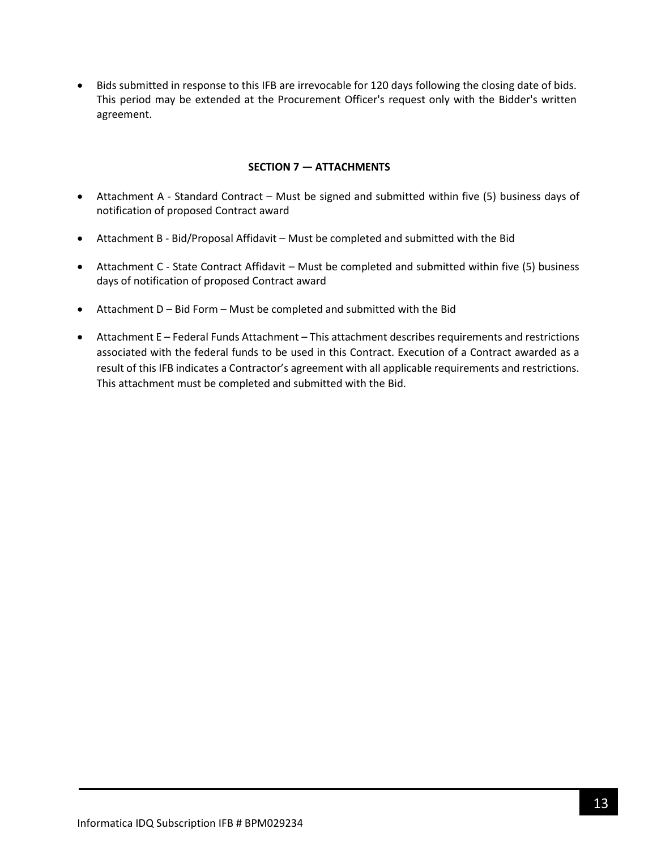• Bids submitted in response to this IFB are irrevocable for 120 days following the closing date of bids. This period may be extended at the Procurement Officer's request only with the Bidder's written agreement.

### **SECTION 7 — ATTACHMENTS**

- <span id="page-12-0"></span>• Attachment A - Standard Contract – Must be signed and submitted within five (5) business days of notification of proposed Contract award
- Attachment B Bid/Proposal Affidavit Must be completed and submitted with the Bid
- Attachment C State Contract Affidavit Must be completed and submitted within five (5) business days of notification of proposed Contract award
- Attachment D Bid Form Must be completed and submitted with the Bid
- Attachment E Federal Funds Attachment This attachment describes requirements and restrictions associated with the federal funds to be used in this Contract. Execution of a Contract awarded as a result of this IFB indicates a Contractor's agreement with all applicable requirements and restrictions. This attachment must be completed and submitted with the Bid.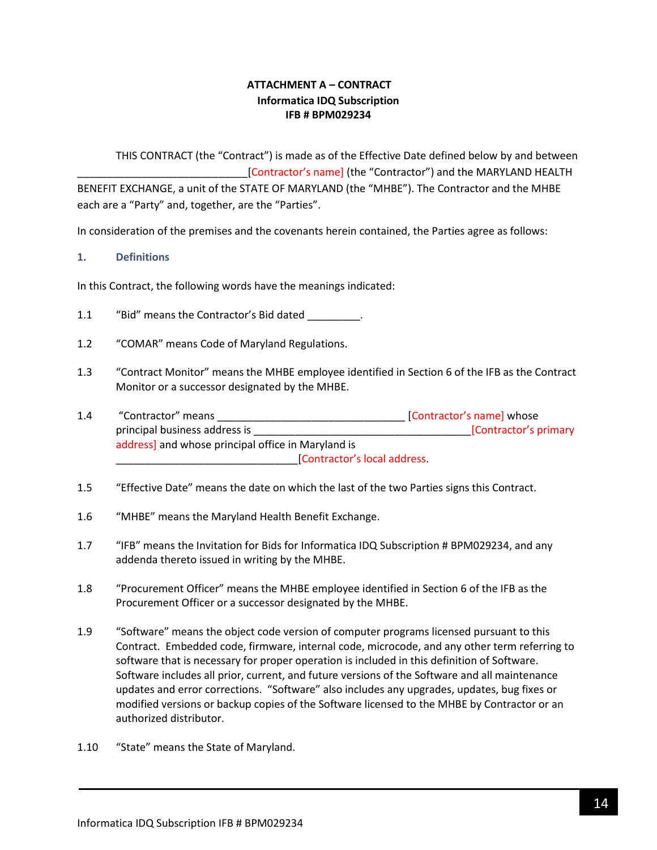## **ATTACHMENT A – CONTRACT Informatica IDQ Subscription IFB # BPM029234**

<span id="page-13-0"></span>THIS CONTRACT (the "Contract") is made as of the Effective Date defined below by and between [Contractor's name] (the "Contractor") and the MARYLAND HEALTH BENEFIT EXCHANGE, a unit of the STATE OF MARYLAND (the "MHBE"). The Contractor and the MHBE each are a "Party" and, together, are the "Parties".

In consideration of the premises and the covenants herein contained, the Parties agree as follows:

### **1. Definitions**

In this Contract, the following words have the meanings indicated:

- 1.1 "Bid" means the Contractor's Bid dated .
- 1.2 "COMAR" means Code of Maryland Regulations.
- 1.3 "Contract Monitor" means the MHBE employee identified in Section 6 of the IFB as the Contract Monitor or a successor designated by the MHBE.
- 1.4 "Contractor" means \_\_\_\_\_\_\_\_\_\_\_\_\_\_\_\_\_\_\_\_\_\_\_\_\_\_\_\_\_\_\_\_ [Contractor's name] whose principal business address is \_\_\_\_\_\_\_\_\_\_\_\_\_\_\_\_\_\_\_\_\_\_\_\_\_\_\_\_\_\_\_\_\_\_\_\_\_[Contractor's primary address] and whose principal office in Maryland is \_\_\_\_\_\_\_\_\_\_\_\_\_\_\_\_\_\_\_\_\_\_\_\_\_\_\_\_\_\_\_[Contractor's local address.
- 1.5 "Effective Date" means the date on which the last of the two Parties signs this Contract.
- 1.6 "MHBE" means the Maryland Health Benefit Exchange.
- 1.7 "IFB" means the Invitation for Bids for Informatica IDQ Subscription # BPM029234, and any addenda thereto issued in writing by the MHBE.
- 1.8 "Procurement Officer" means the MHBE employee identified in Section 6 of the IFB as the Procurement Officer or a successor designated by the MHBE.
- 1.9 "Software" means the object code version of computer programs licensed pursuant to this Contract. Embedded code, firmware, internal code, microcode, and any other term referring to software that is necessary for proper operation is included in this definition of Software. Software includes all prior, current, and future versions of the Software and all maintenance updates and error corrections. "Software" also includes any upgrades, updates, bug fixes or modified versions or backup copies of the Software licensed to the MHBE by Contractor or an authorized distributor.
- 1.10 "State" means the State of Maryland.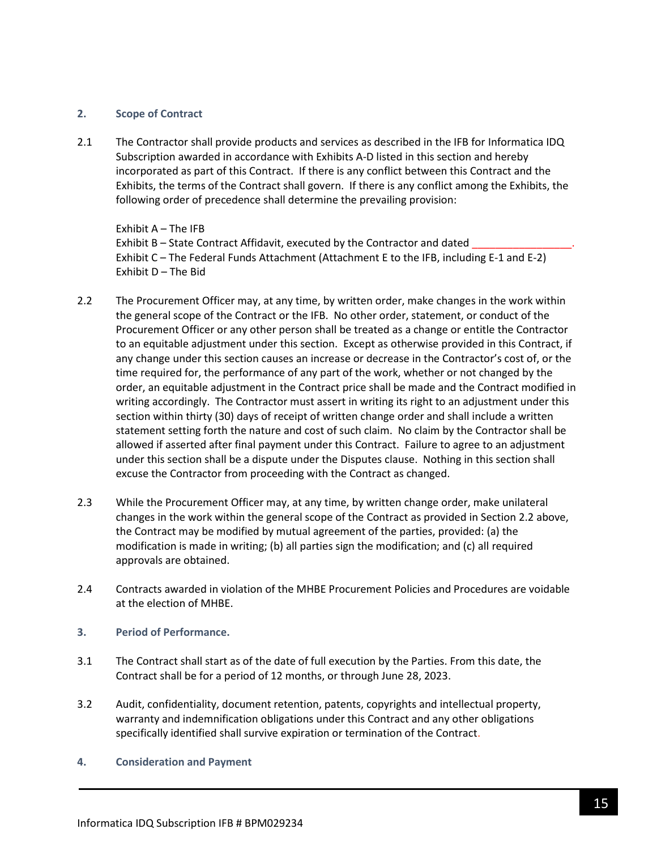#### **2. Scope of Contract**

2.1 The Contractor shall provide products and services as described in the IFB for Informatica IDQ Subscription awarded in accordance with Exhibits A-D listed in this section and hereby incorporated as part of this Contract. If there is any conflict between this Contract and the Exhibits, the terms of the Contract shall govern. If there is any conflict among the Exhibits, the following order of precedence shall determine the prevailing provision:

Exhibit A – The IFB Exhibit B – State Contract Affidavit, executed by the Contractor and dated Exhibit C – The Federal Funds Attachment (Attachment E to the IFB, including E-1 and E-2) Exhibit D – The Bid

- 2.2 The Procurement Officer may, at any time, by written order, make changes in the work within the general scope of the Contract or the IFB. No other order, statement, or conduct of the Procurement Officer or any other person shall be treated as a change or entitle the Contractor to an equitable adjustment under this section. Except as otherwise provided in this Contract, if any change under this section causes an increase or decrease in the Contractor's cost of, or the time required for, the performance of any part of the work, whether or not changed by the order, an equitable adjustment in the Contract price shall be made and the Contract modified in writing accordingly. The Contractor must assert in writing its right to an adjustment under this section within thirty (30) days of receipt of written change order and shall include a written statement setting forth the nature and cost of such claim. No claim by the Contractor shall be allowed if asserted after final payment under this Contract. Failure to agree to an adjustment under this section shall be a dispute under the Disputes clause. Nothing in this section shall excuse the Contractor from proceeding with the Contract as changed.
- 2.3 While the Procurement Officer may, at any time, by written change order, make unilateral changes in the work within the general scope of the Contract as provided in Section 2.2 above, the Contract may be modified by mutual agreement of the parties, provided: (a) the modification is made in writing; (b) all parties sign the modification; and (c) all required approvals are obtained.
- 2.4 Contracts awarded in violation of the MHBE Procurement Policies and Procedures are voidable at the election of MHBE.
- **3. Period of Performance.**
- 3.1 The Contract shall start as of the date of full execution by the Parties. From this date, the Contract shall be for a period of 12 months, or through June 28, 2023.
- 3.2 Audit, confidentiality, document retention, patents, copyrights and intellectual property, warranty and indemnification obligations under this Contract and any other obligations specifically identified shall survive expiration or termination of the Contract.
- **4. Consideration and Payment**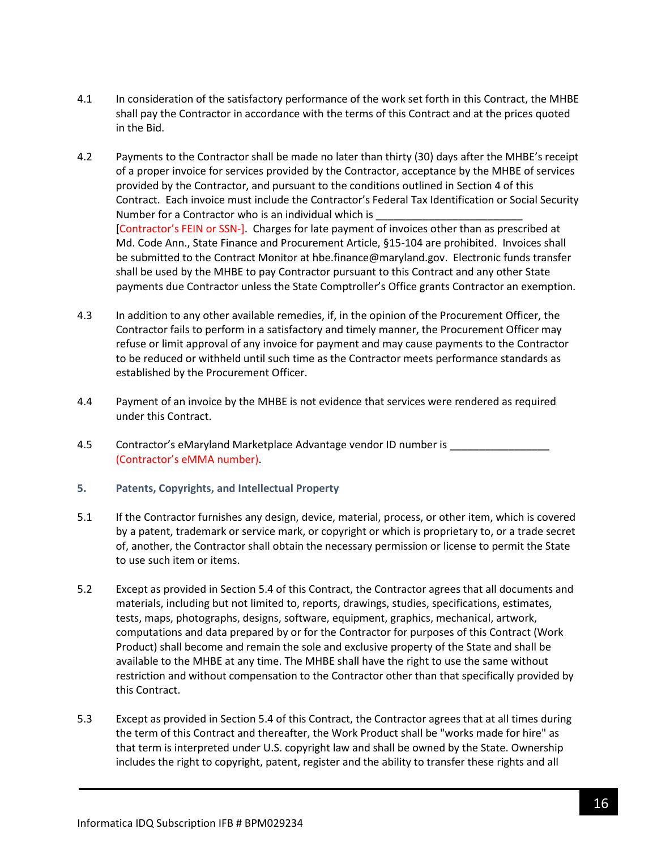- 4.1 In consideration of the satisfactory performance of the work set forth in this Contract, the MHBE shall pay the Contractor in accordance with the terms of this Contract and at the prices quoted in the Bid.
- 4.2 Payments to the Contractor shall be made no later than thirty (30) days after the MHBE's receipt of a proper invoice for services provided by the Contractor, acceptance by the MHBE of services provided by the Contractor, and pursuant to the conditions outlined in Section 4 of this Contract. Each invoice must include the Contractor's Federal Tax Identification or Social Security Number for a Contractor who is an individual which is [Contractor's FEIN or SSN-]. Charges for late payment of invoices other than as prescribed at Md. Code Ann., State Finance and Procurement Article, §15-104 are prohibited. Invoices shall be submitted to the Contract Monitor at hbe.finance@maryland.gov. Electronic funds transfer shall be used by the MHBE to pay Contractor pursuant to this Contract and any other State payments due Contractor unless the State Comptroller's Office grants Contractor an exemption.
- 4.3 In addition to any other available remedies, if, in the opinion of the Procurement Officer, the Contractor fails to perform in a satisfactory and timely manner, the Procurement Officer may refuse or limit approval of any invoice for payment and may cause payments to the Contractor to be reduced or withheld until such time as the Contractor meets performance standards as established by the Procurement Officer.
- 4.4 Payment of an invoice by the MHBE is not evidence that services were rendered as required under this Contract.
- 4.5 Contractor's eMaryland Marketplace Advantage vendor ID number is \_\_\_\_\_\_\_\_\_\_\_ (Contractor's eMMA number).
- **5. Patents, Copyrights, and Intellectual Property**
- 5.1 If the Contractor furnishes any design, device, material, process, or other item, which is covered by a patent, trademark or service mark, or copyright or which is proprietary to, or a trade secret of, another, the Contractor shall obtain the necessary permission or license to permit the State to use such item or items.
- 5.2 Except as provided in Section 5.4 of this Contract, the Contractor agrees that all documents and materials, including but not limited to, reports, drawings, studies, specifications, estimates, tests, maps, photographs, designs, software, equipment, graphics, mechanical, artwork, computations and data prepared by or for the Contractor for purposes of this Contract (Work Product) shall become and remain the sole and exclusive property of the State and shall be available to the MHBE at any time. The MHBE shall have the right to use the same without restriction and without compensation to the Contractor other than that specifically provided by this Contract.
- 5.3 Except as provided in Section 5.4 of this Contract, the Contractor agrees that at all times during the term of this Contract and thereafter, the Work Product shall be "works made for hire" as that term is interpreted under U.S. copyright law and shall be owned by the State. Ownership includes the right to copyright, patent, register and the ability to transfer these rights and all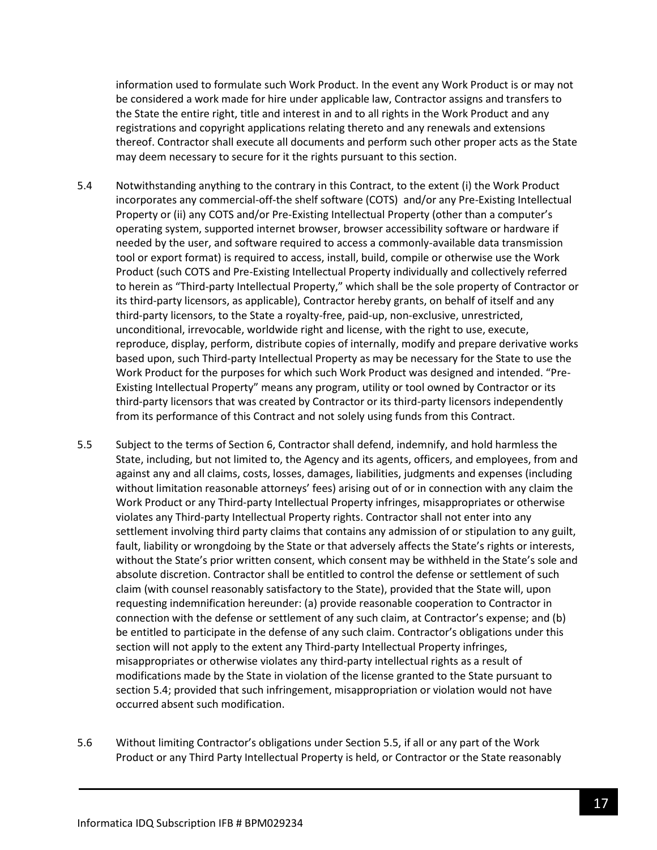information used to formulate such Work Product. In the event any Work Product is or may not be considered a work made for hire under applicable law, Contractor assigns and transfers to the State the entire right, title and interest in and to all rights in the Work Product and any registrations and copyright applications relating thereto and any renewals and extensions thereof. Contractor shall execute all documents and perform such other proper acts as the State may deem necessary to secure for it the rights pursuant to this section.

- 5.4 Notwithstanding anything to the contrary in this Contract, to the extent (i) the Work Product incorporates any commercial-off-the shelf software (COTS) and/or any Pre-Existing Intellectual Property or (ii) any COTS and/or Pre-Existing Intellectual Property (other than a computer's operating system, supported internet browser, browser accessibility software or hardware if needed by the user, and software required to access a commonly-available data transmission tool or export format) is required to access, install, build, compile or otherwise use the Work Product (such COTS and Pre-Existing Intellectual Property individually and collectively referred to herein as "Third-party Intellectual Property," which shall be the sole property of Contractor or its third-party licensors, as applicable), Contractor hereby grants, on behalf of itself and any third-party licensors, to the State a royalty-free, paid-up, non-exclusive, unrestricted, unconditional, irrevocable, worldwide right and license, with the right to use, execute, reproduce, display, perform, distribute copies of internally, modify and prepare derivative works based upon, such Third-party Intellectual Property as may be necessary for the State to use the Work Product for the purposes for which such Work Product was designed and intended. "Pre-Existing Intellectual Property" means any program, utility or tool owned by Contractor or its third-party licensors that was created by Contractor or its third-party licensors independently from its performance of this Contract and not solely using funds from this Contract.
- 5.5 Subject to the terms of Section 6, Contractor shall defend, indemnify, and hold harmless the State, including, but not limited to, the Agency and its agents, officers, and employees, from and against any and all claims, costs, losses, damages, liabilities, judgments and expenses (including without limitation reasonable attorneys' fees) arising out of or in connection with any claim the Work Product or any Third-party Intellectual Property infringes, misappropriates or otherwise violates any Third-party Intellectual Property rights. Contractor shall not enter into any settlement involving third party claims that contains any admission of or stipulation to any guilt, fault, liability or wrongdoing by the State or that adversely affects the State's rights or interests, without the State's prior written consent, which consent may be withheld in the State's sole and absolute discretion. Contractor shall be entitled to control the defense or settlement of such claim (with counsel reasonably satisfactory to the State), provided that the State will, upon requesting indemnification hereunder: (a) provide reasonable cooperation to Contractor in connection with the defense or settlement of any such claim, at Contractor's expense; and (b) be entitled to participate in the defense of any such claim. Contractor's obligations under this section will not apply to the extent any Third-party Intellectual Property infringes, misappropriates or otherwise violates any third-party intellectual rights as a result of modifications made by the State in violation of the license granted to the State pursuant to section 5.4; provided that such infringement, misappropriation or violation would not have occurred absent such modification.
- 5.6 Without limiting Contractor's obligations under Section 5.5, if all or any part of the Work Product or any Third Party Intellectual Property is held, or Contractor or the State reasonably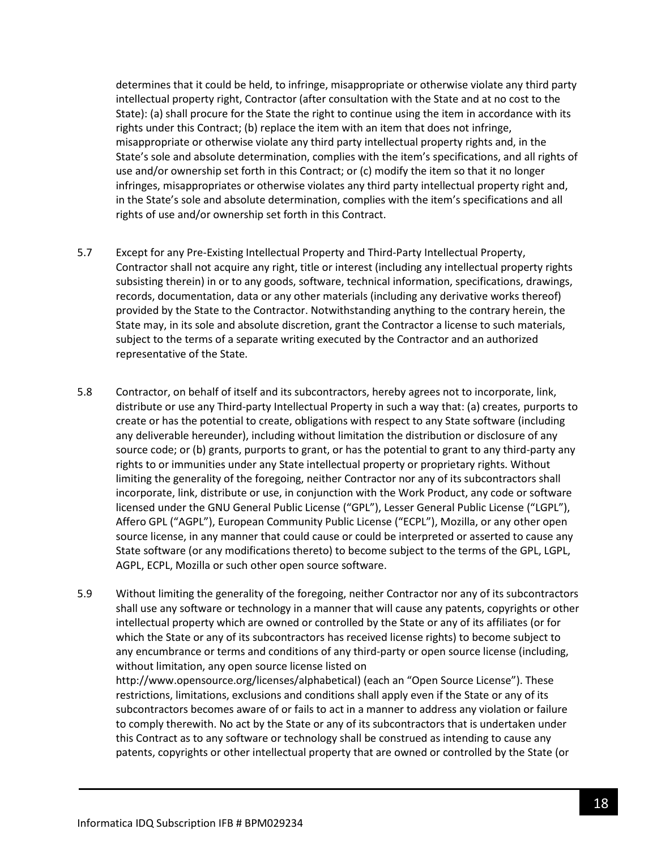determines that it could be held, to infringe, misappropriate or otherwise violate any third party intellectual property right, Contractor (after consultation with the State and at no cost to the State): (a) shall procure for the State the right to continue using the item in accordance with its rights under this Contract; (b) replace the item with an item that does not infringe, misappropriate or otherwise violate any third party intellectual property rights and, in the State's sole and absolute determination, complies with the item's specifications, and all rights of use and/or ownership set forth in this Contract; or (c) modify the item so that it no longer infringes, misappropriates or otherwise violates any third party intellectual property right and, in the State's sole and absolute determination, complies with the item's specifications and all rights of use and/or ownership set forth in this Contract.

- 5.7 Except for any Pre-Existing Intellectual Property and Third-Party Intellectual Property, Contractor shall not acquire any right, title or interest (including any intellectual property rights subsisting therein) in or to any goods, software, technical information, specifications, drawings, records, documentation, data or any other materials (including any derivative works thereof) provided by the State to the Contractor. Notwithstanding anything to the contrary herein, the State may, in its sole and absolute discretion, grant the Contractor a license to such materials, subject to the terms of a separate writing executed by the Contractor and an authorized representative of the State.
- 5.8 Contractor, on behalf of itself and its subcontractors, hereby agrees not to incorporate, link, distribute or use any Third-party Intellectual Property in such a way that: (a) creates, purports to create or has the potential to create, obligations with respect to any State software (including any deliverable hereunder), including without limitation the distribution or disclosure of any source code; or (b) grants, purports to grant, or has the potential to grant to any third-party any rights to or immunities under any State intellectual property or proprietary rights. Without limiting the generality of the foregoing, neither Contractor nor any of its subcontractors shall incorporate, link, distribute or use, in conjunction with the Work Product, any code or software licensed under the GNU General Public License ("GPL"), Lesser General Public License ("LGPL"), Affero GPL ("AGPL"), European Community Public License ("ECPL"), Mozilla, or any other open source license, in any manner that could cause or could be interpreted or asserted to cause any State software (or any modifications thereto) to become subject to the terms of the GPL, LGPL, AGPL, ECPL, Mozilla or such other open source software.
- 5.9 Without limiting the generality of the foregoing, neither Contractor nor any of its subcontractors shall use any software or technology in a manner that will cause any patents, copyrights or other intellectual property which are owned or controlled by the State or any of its affiliates (or for which the State or any of its subcontractors has received license rights) to become subject to any encumbrance or terms and conditions of any third-party or open source license (including, without limitation, any open source license listed on http://www.opensource.org/licenses/alphabetical) (each an "Open Source License"). These restrictions, limitations, exclusions and conditions shall apply even if the State or any of its subcontractors becomes aware of or fails to act in a manner to address any violation or failure to comply therewith. No act by the State or any of its subcontractors that is undertaken under this Contract as to any software or technology shall be construed as intending to cause any patents, copyrights or other intellectual property that are owned or controlled by the State (or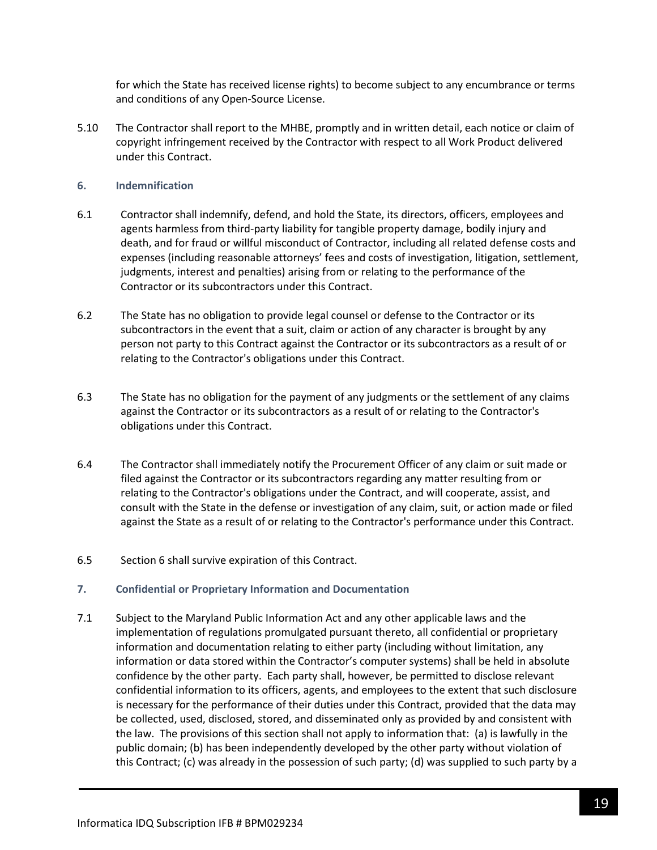for which the State has received license rights) to become subject to any encumbrance or terms and conditions of any Open-Source License.

5.10 The Contractor shall report to the MHBE, promptly and in written detail, each notice or claim of copyright infringement received by the Contractor with respect to all Work Product delivered under this Contract.

#### **6. Indemnification**

- 6.1 Contractor shall indemnify, defend, and hold the State, its directors, officers, employees and agents harmless from third-party liability for tangible property damage, bodily injury and death, and for fraud or willful misconduct of Contractor, including all related defense costs and expenses (including reasonable attorneys' fees and costs of investigation, litigation, settlement, judgments, interest and penalties) arising from or relating to the performance of the Contractor or its subcontractors under this Contract.
- 6.2 The State has no obligation to provide legal counsel or defense to the Contractor or its subcontractors in the event that a suit, claim or action of any character is brought by any person not party to this Contract against the Contractor or its subcontractors as a result of or relating to the Contractor's obligations under this Contract.
- 6.3 The State has no obligation for the payment of any judgments or the settlement of any claims against the Contractor or its subcontractors as a result of or relating to the Contractor's obligations under this Contract.
- 6.4 The Contractor shall immediately notify the Procurement Officer of any claim or suit made or filed against the Contractor or its subcontractors regarding any matter resulting from or relating to the Contractor's obligations under the Contract, and will cooperate, assist, and consult with the State in the defense or investigation of any claim, suit, or action made or filed against the State as a result of or relating to the Contractor's performance under this Contract.
- 6.5 Section 6 shall survive expiration of this Contract.

#### **7. Confidential or Proprietary Information and Documentation**

7.1 Subject to the Maryland Public Information Act and any other applicable laws and the implementation of regulations promulgated pursuant thereto, all confidential or proprietary information and documentation relating to either party (including without limitation, any information or data stored within the Contractor's computer systems) shall be held in absolute confidence by the other party. Each party shall, however, be permitted to disclose relevant confidential information to its officers, agents, and employees to the extent that such disclosure is necessary for the performance of their duties under this Contract, provided that the data may be collected, used, disclosed, stored, and disseminated only as provided by and consistent with the law. The provisions of this section shall not apply to information that: (a) is lawfully in the public domain; (b) has been independently developed by the other party without violation of this Contract; (c) was already in the possession of such party; (d) was supplied to such party by a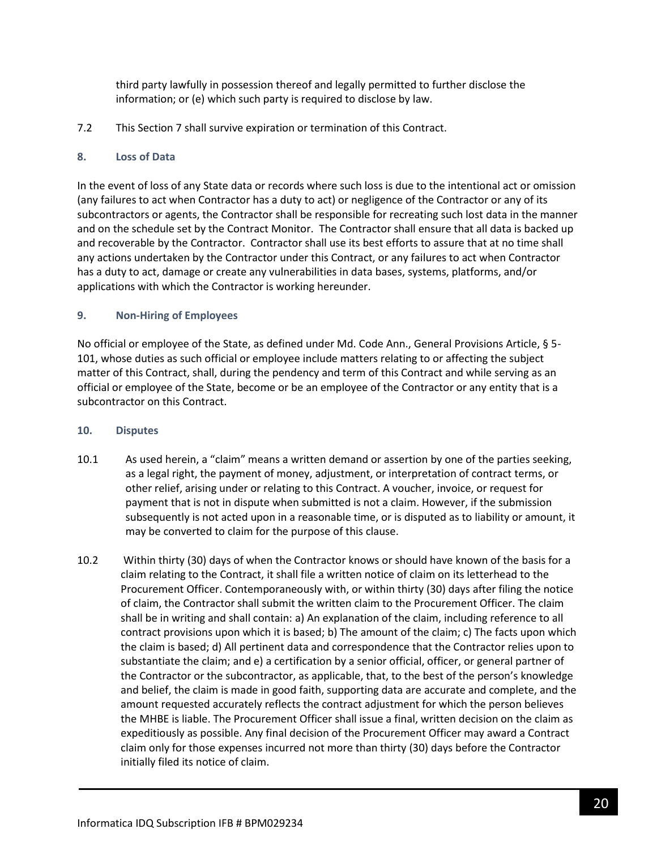third party lawfully in possession thereof and legally permitted to further disclose the information; or (e) which such party is required to disclose by law.

7.2 This Section 7 shall survive expiration or termination of this Contract.

### **8. Loss of Data**

In the event of loss of any State data or records where such loss is due to the intentional act or omission (any failures to act when Contractor has a duty to act) or negligence of the Contractor or any of its subcontractors or agents, the Contractor shall be responsible for recreating such lost data in the manner and on the schedule set by the Contract Monitor. The Contractor shall ensure that all data is backed up and recoverable by the Contractor. Contractor shall use its best efforts to assure that at no time shall any actions undertaken by the Contractor under this Contract, or any failures to act when Contractor has a duty to act, damage or create any vulnerabilities in data bases, systems, platforms, and/or applications with which the Contractor is working hereunder.

### **9. Non-Hiring of Employees**

No official or employee of the State, as defined under Md. Code Ann., General Provisions Article, § 5- 101, whose duties as such official or employee include matters relating to or affecting the subject matter of this Contract, shall, during the pendency and term of this Contract and while serving as an official or employee of the State, become or be an employee of the Contractor or any entity that is a subcontractor on this Contract.

### **10. Disputes**

- 10.1 As used herein, a "claim" means a written demand or assertion by one of the parties seeking, as a legal right, the payment of money, adjustment, or interpretation of contract terms, or other relief, arising under or relating to this Contract. A voucher, invoice, or request for payment that is not in dispute when submitted is not a claim. However, if the submission subsequently is not acted upon in a reasonable time, or is disputed as to liability or amount, it may be converted to claim for the purpose of this clause.
- 10.2 Within thirty (30) days of when the Contractor knows or should have known of the basis for a claim relating to the Contract, it shall file a written notice of claim on its letterhead to the Procurement Officer. Contemporaneously with, or within thirty (30) days after filing the notice of claim, the Contractor shall submit the written claim to the Procurement Officer. The claim shall be in writing and shall contain: a) An explanation of the claim, including reference to all contract provisions upon which it is based; b) The amount of the claim; c) The facts upon which the claim is based; d) All pertinent data and correspondence that the Contractor relies upon to substantiate the claim; and e) a certification by a senior official, officer, or general partner of the Contractor or the subcontractor, as applicable, that, to the best of the person's knowledge and belief, the claim is made in good faith, supporting data are accurate and complete, and the amount requested accurately reflects the contract adjustment for which the person believes the MHBE is liable. The Procurement Officer shall issue a final, written decision on the claim as expeditiously as possible. Any final decision of the Procurement Officer may award a Contract claim only for those expenses incurred not more than thirty (30) days before the Contractor initially filed its notice of claim.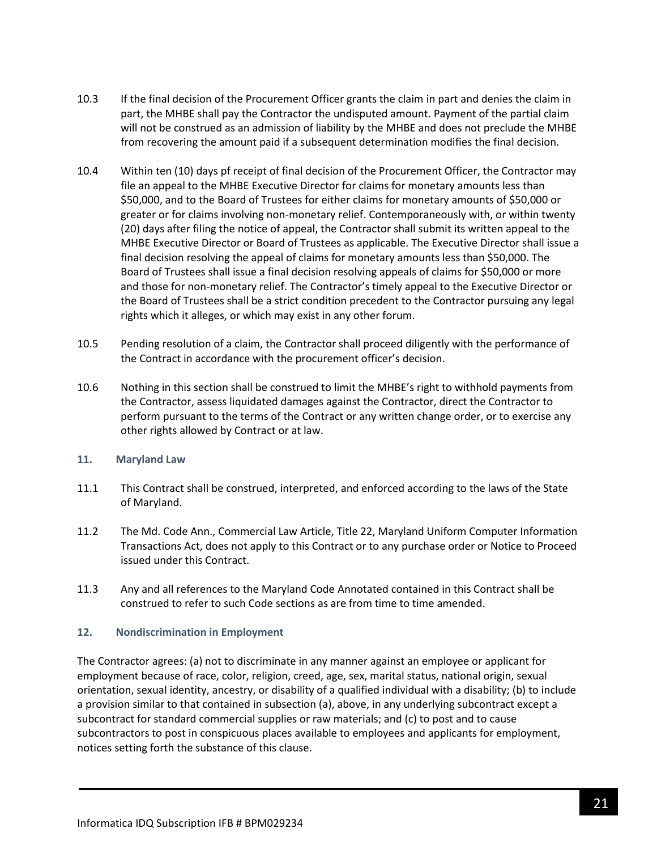- 10.3 If the final decision of the Procurement Officer grants the claim in part and denies the claim in part, the MHBE shall pay the Contractor the undisputed amount. Payment of the partial claim will not be construed as an admission of liability by the MHBE and does not preclude the MHBE from recovering the amount paid if a subsequent determination modifies the final decision.
- 10.4 Within ten (10) days pf receipt of final decision of the Procurement Officer, the Contractor may file an appeal to the MHBE Executive Director for claims for monetary amounts less than \$50,000, and to the Board of Trustees for either claims for monetary amounts of \$50,000 or greater or for claims involving non-monetary relief. Contemporaneously with, or within twenty (20) days after filing the notice of appeal, the Contractor shall submit its written appeal to the MHBE Executive Director or Board of Trustees as applicable. The Executive Director shall issue a final decision resolving the appeal of claims for monetary amounts less than \$50,000. The Board of Trustees shall issue a final decision resolving appeals of claims for \$50,000 or more and those for non-monetary relief. The Contractor's timely appeal to the Executive Director or the Board of Trustees shall be a strict condition precedent to the Contractor pursuing any legal rights which it alleges, or which may exist in any other forum.
- 10.5 Pending resolution of a claim, the Contractor shall proceed diligently with the performance of the Contract in accordance with the procurement officer's decision.
- 10.6 Nothing in this section shall be construed to limit the MHBE's right to withhold payments from the Contractor, assess liquidated damages against the Contractor, direct the Contractor to perform pursuant to the terms of the Contract or any written change order, or to exercise any other rights allowed by Contract or at law.

### **11. Maryland Law**

- 11.1 This Contract shall be construed, interpreted, and enforced according to the laws of the State of Maryland.
- 11.2 The Md. Code Ann., Commercial Law Article, Title 22, Maryland Uniform Computer Information Transactions Act, does not apply to this Contract or to any purchase order or Notice to Proceed issued under this Contract.
- 11.3 Any and all references to the Maryland Code Annotated contained in this Contract shall be construed to refer to such Code sections as are from time to time amended.

### **12. Nondiscrimination in Employment**

The Contractor agrees: (a) not to discriminate in any manner against an employee or applicant for employment because of race, color, religion, creed, age, sex, marital status, national origin, sexual orientation, sexual identity, ancestry, or disability of a qualified individual with a disability; (b) to include a provision similar to that contained in subsection (a), above, in any underlying subcontract except a subcontract for standard commercial supplies or raw materials; and (c) to post and to cause subcontractors to post in conspicuous places available to employees and applicants for employment, notices setting forth the substance of this clause.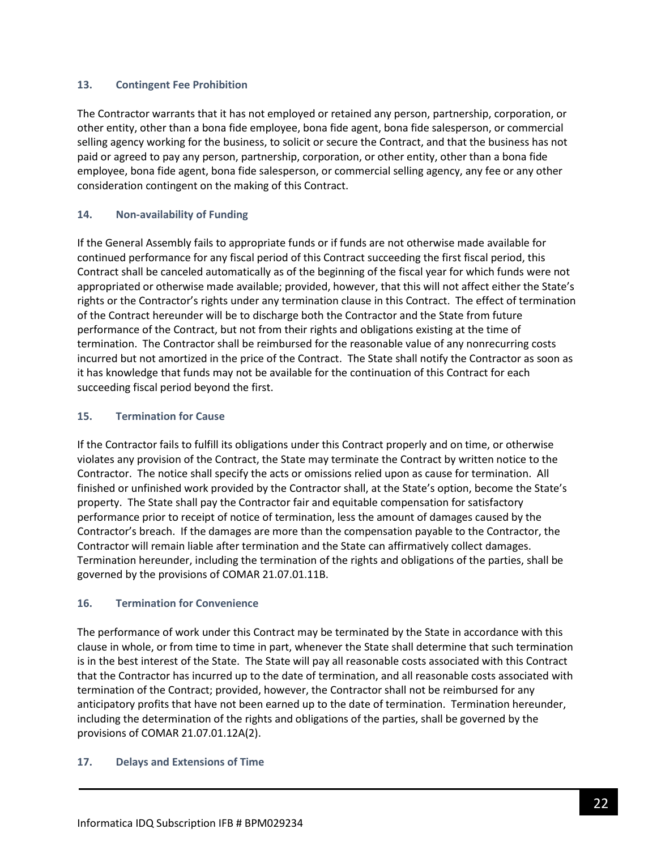### **13. Contingent Fee Prohibition**

The Contractor warrants that it has not employed or retained any person, partnership, corporation, or other entity, other than a bona fide employee, bona fide agent, bona fide salesperson, or commercial selling agency working for the business, to solicit or secure the Contract, and that the business has not paid or agreed to pay any person, partnership, corporation, or other entity, other than a bona fide employee, bona fide agent, bona fide salesperson, or commercial selling agency, any fee or any other consideration contingent on the making of this Contract.

### **14. Non-availability of Funding**

If the General Assembly fails to appropriate funds or if funds are not otherwise made available for continued performance for any fiscal period of this Contract succeeding the first fiscal period, this Contract shall be canceled automatically as of the beginning of the fiscal year for which funds were not appropriated or otherwise made available; provided, however, that this will not affect either the State's rights or the Contractor's rights under any termination clause in this Contract. The effect of termination of the Contract hereunder will be to discharge both the Contractor and the State from future performance of the Contract, but not from their rights and obligations existing at the time of termination. The Contractor shall be reimbursed for the reasonable value of any nonrecurring costs incurred but not amortized in the price of the Contract. The State shall notify the Contractor as soon as it has knowledge that funds may not be available for the continuation of this Contract for each succeeding fiscal period beyond the first.

### **15. Termination for Cause**

If the Contractor fails to fulfill its obligations under this Contract properly and on time, or otherwise violates any provision of the Contract, the State may terminate the Contract by written notice to the Contractor. The notice shall specify the acts or omissions relied upon as cause for termination. All finished or unfinished work provided by the Contractor shall, at the State's option, become the State's property. The State shall pay the Contractor fair and equitable compensation for satisfactory performance prior to receipt of notice of termination, less the amount of damages caused by the Contractor's breach. If the damages are more than the compensation payable to the Contractor, the Contractor will remain liable after termination and the State can affirmatively collect damages. Termination hereunder, including the termination of the rights and obligations of the parties, shall be governed by the provisions of COMAR 21.07.01.11B.

### **16. Termination for Convenience**

The performance of work under this Contract may be terminated by the State in accordance with this clause in whole, or from time to time in part, whenever the State shall determine that such termination is in the best interest of the State. The State will pay all reasonable costs associated with this Contract that the Contractor has incurred up to the date of termination, and all reasonable costs associated with termination of the Contract; provided, however, the Contractor shall not be reimbursed for any anticipatory profits that have not been earned up to the date of termination. Termination hereunder, including the determination of the rights and obligations of the parties, shall be governed by the provisions of COMAR 21.07.01.12A(2).

### **17. Delays and Extensions of Time**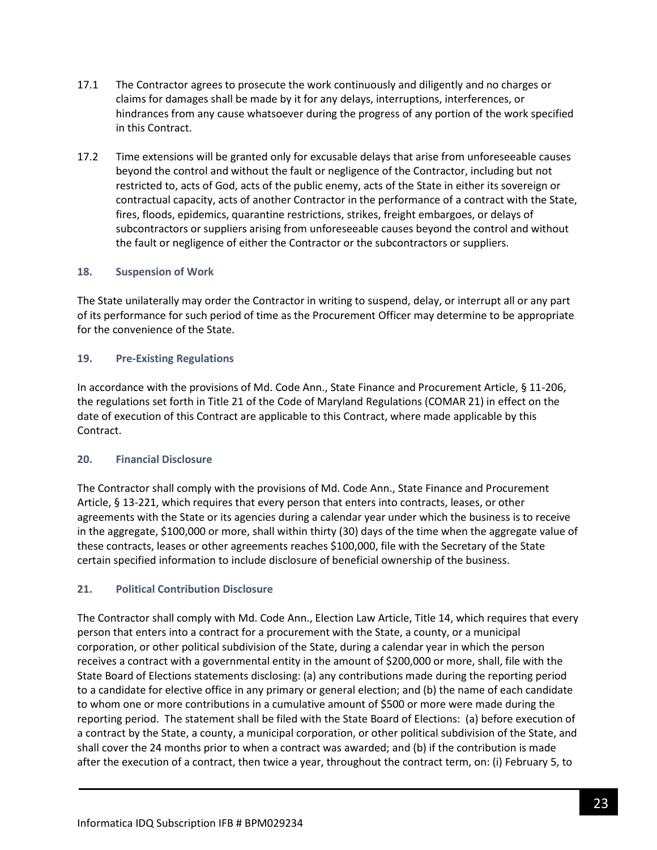- 17.1 The Contractor agrees to prosecute the work continuously and diligently and no charges or claims for damages shall be made by it for any delays, interruptions, interferences, or hindrances from any cause whatsoever during the progress of any portion of the work specified in this Contract.
- 17.2 Time extensions will be granted only for excusable delays that arise from unforeseeable causes beyond the control and without the fault or negligence of the Contractor, including but not restricted to, acts of God, acts of the public enemy, acts of the State in either its sovereign or contractual capacity, acts of another Contractor in the performance of a contract with the State, fires, floods, epidemics, quarantine restrictions, strikes, freight embargoes, or delays of subcontractors or suppliers arising from unforeseeable causes beyond the control and without the fault or negligence of either the Contractor or the subcontractors or suppliers.

### **18. Suspension of Work**

The State unilaterally may order the Contractor in writing to suspend, delay, or interrupt all or any part of its performance for such period of time as the Procurement Officer may determine to be appropriate for the convenience of the State.

### **19. Pre-Existing Regulations**

In accordance with the provisions of Md. Code Ann., State Finance and Procurement Article, § 11-206, the regulations set forth in Title 21 of the Code of Maryland Regulations (COMAR 21) in effect on the date of execution of this Contract are applicable to this Contract, where made applicable by this Contract.

### **20. Financial Disclosure**

The Contractor shall comply with the provisions of Md. Code Ann., State Finance and Procurement Article, § 13-221, which requires that every person that enters into contracts, leases, or other agreements with the State or its agencies during a calendar year under which the business is to receive in the aggregate, \$100,000 or more, shall within thirty (30) days of the time when the aggregate value of these contracts, leases or other agreements reaches \$100,000, file with the Secretary of the State certain specified information to include disclosure of beneficial ownership of the business.

## **21. Political Contribution Disclosure**

The Contractor shall comply with Md. Code Ann., Election Law Article, Title 14, which requires that every person that enters into a contract for a procurement with the State, a county, or a municipal corporation, or other political subdivision of the State, during a calendar year in which the person receives a contract with a governmental entity in the amount of \$200,000 or more, shall, file with the State Board of Elections statements disclosing: (a) any contributions made during the reporting period to a candidate for elective office in any primary or general election; and (b) the name of each candidate to whom one or more contributions in a cumulative amount of \$500 or more were made during the reporting period. The statement shall be filed with the State Board of Elections: (a) before execution of a contract by the State, a county, a municipal corporation, or other political subdivision of the State, and shall cover the 24 months prior to when a contract was awarded; and (b) if the contribution is made after the execution of a contract, then twice a year, throughout the contract term, on: (i) February 5, to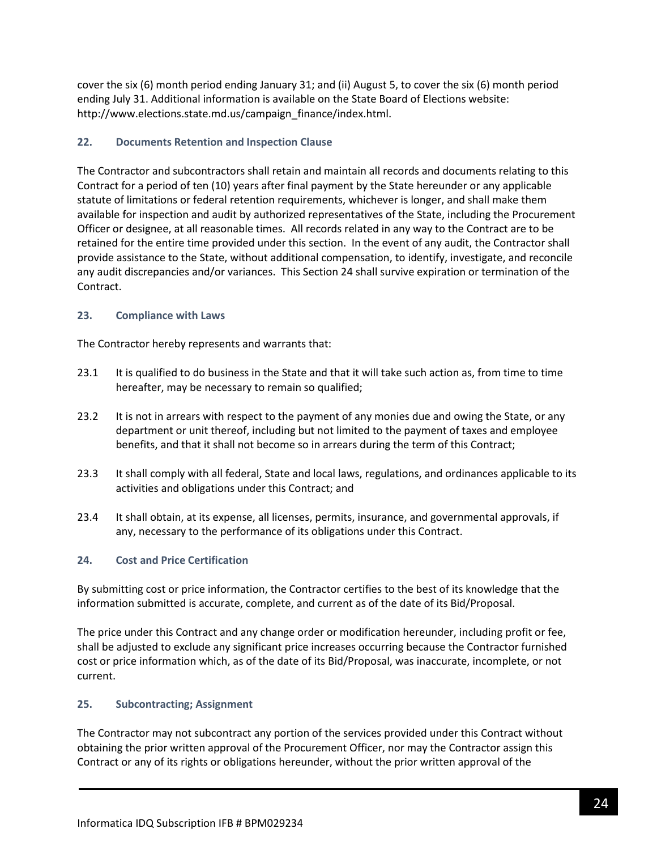cover the six (6) month period ending January 31; and (ii) August 5, to cover the six (6) month period ending July 31. Additional information is available on the State Board of Elections website: http://www.elections.state.md.us/campaign\_finance/index.html.

## **22. Documents Retention and Inspection Clause**

The Contractor and subcontractors shall retain and maintain all records and documents relating to this Contract for a period of ten (10) years after final payment by the State hereunder or any applicable statute of limitations or federal retention requirements, whichever is longer, and shall make them available for inspection and audit by authorized representatives of the State, including the Procurement Officer or designee, at all reasonable times. All records related in any way to the Contract are to be retained for the entire time provided under this section. In the event of any audit, the Contractor shall provide assistance to the State, without additional compensation, to identify, investigate, and reconcile any audit discrepancies and/or variances. This Section 24 shall survive expiration or termination of the Contract.

## **23. Compliance with Laws**

The Contractor hereby represents and warrants that:

- 23.1 It is qualified to do business in the State and that it will take such action as, from time to time hereafter, may be necessary to remain so qualified;
- 23.2 It is not in arrears with respect to the payment of any monies due and owing the State, or any department or unit thereof, including but not limited to the payment of taxes and employee benefits, and that it shall not become so in arrears during the term of this Contract;
- 23.3 It shall comply with all federal, State and local laws, regulations, and ordinances applicable to its activities and obligations under this Contract; and
- 23.4 It shall obtain, at its expense, all licenses, permits, insurance, and governmental approvals, if any, necessary to the performance of its obligations under this Contract.

## **24. Cost and Price Certification**

By submitting cost or price information, the Contractor certifies to the best of its knowledge that the information submitted is accurate, complete, and current as of the date of its Bid/Proposal.

The price under this Contract and any change order or modification hereunder, including profit or fee, shall be adjusted to exclude any significant price increases occurring because the Contractor furnished cost or price information which, as of the date of its Bid/Proposal, was inaccurate, incomplete, or not current.

## **25. Subcontracting; Assignment**

The Contractor may not subcontract any portion of the services provided under this Contract without obtaining the prior written approval of the Procurement Officer, nor may the Contractor assign this Contract or any of its rights or obligations hereunder, without the prior written approval of the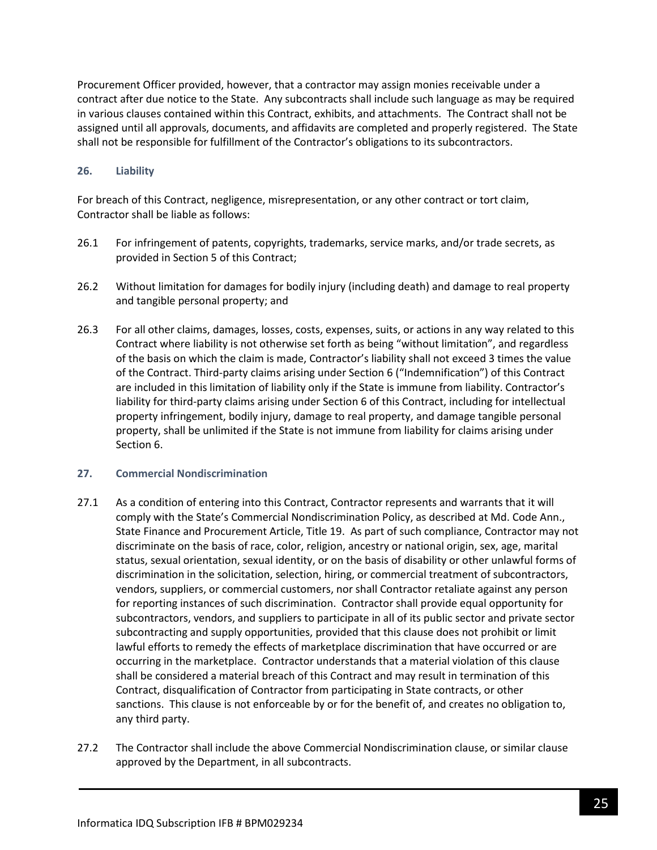Procurement Officer provided, however, that a contractor may assign monies receivable under a contract after due notice to the State. Any subcontracts shall include such language as may be required in various clauses contained within this Contract, exhibits, and attachments. The Contract shall not be assigned until all approvals, documents, and affidavits are completed and properly registered. The State shall not be responsible for fulfillment of the Contractor's obligations to its subcontractors.

### **26. Liability**

For breach of this Contract, negligence, misrepresentation, or any other contract or tort claim, Contractor shall be liable as follows:

- 26.1 For infringement of patents, copyrights, trademarks, service marks, and/or trade secrets, as provided in Section 5 of this Contract;
- 26.2 Without limitation for damages for bodily injury (including death) and damage to real property and tangible personal property; and
- 26.3 For all other claims, damages, losses, costs, expenses, suits, or actions in any way related to this Contract where liability is not otherwise set forth as being "without limitation", and regardless of the basis on which the claim is made, Contractor's liability shall not exceed 3 times the value of the Contract. Third-party claims arising under Section 6 ("Indemnification") of this Contract are included in this limitation of liability only if the State is immune from liability. Contractor's liability for third-party claims arising under Section 6 of this Contract, including for intellectual property infringement, bodily injury, damage to real property, and damage tangible personal property, shall be unlimited if the State is not immune from liability for claims arising under Section 6.

### **27. Commercial Nondiscrimination**

- 27.1 As a condition of entering into this Contract, Contractor represents and warrants that it will comply with the State's Commercial Nondiscrimination Policy, as described at Md. Code Ann., State Finance and Procurement Article, Title 19. As part of such compliance, Contractor may not discriminate on the basis of race, color, religion, ancestry or national origin, sex, age, marital status, sexual orientation, sexual identity, or on the basis of disability or other unlawful forms of discrimination in the solicitation, selection, hiring, or commercial treatment of subcontractors, vendors, suppliers, or commercial customers, nor shall Contractor retaliate against any person for reporting instances of such discrimination. Contractor shall provide equal opportunity for subcontractors, vendors, and suppliers to participate in all of its public sector and private sector subcontracting and supply opportunities, provided that this clause does not prohibit or limit lawful efforts to remedy the effects of marketplace discrimination that have occurred or are occurring in the marketplace. Contractor understands that a material violation of this clause shall be considered a material breach of this Contract and may result in termination of this Contract, disqualification of Contractor from participating in State contracts, or other sanctions. This clause is not enforceable by or for the benefit of, and creates no obligation to, any third party.
- 27.2 The Contractor shall include the above Commercial Nondiscrimination clause, or similar clause approved by the Department, in all subcontracts.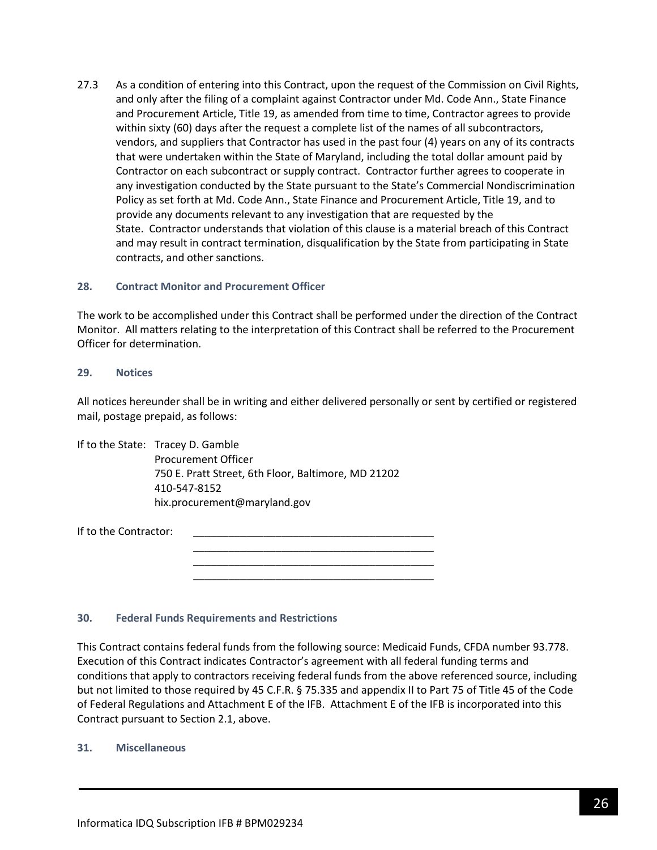27.3 As a condition of entering into this Contract, upon the request of the Commission on Civil Rights, and only after the filing of a complaint against Contractor under Md. Code Ann., State Finance and Procurement Article, Title 19, as amended from time to time, Contractor agrees to provide within sixty (60) days after the request a complete list of the names of all subcontractors, vendors, and suppliers that Contractor has used in the past four (4) years on any of its contracts that were undertaken within the State of Maryland, including the total dollar amount paid by Contractor on each subcontract or supply contract. Contractor further agrees to cooperate in any investigation conducted by the State pursuant to the State's Commercial Nondiscrimination Policy as set forth at Md. Code Ann., State Finance and Procurement Article, Title 19, and to provide any documents relevant to any investigation that are requested by the State. Contractor understands that violation of this clause is a material breach of this Contract and may result in contract termination, disqualification by the State from participating in State contracts, and other sanctions.

#### **28. Contract Monitor and Procurement Officer**

The work to be accomplished under this Contract shall be performed under the direction of the Contract Monitor. All matters relating to the interpretation of this Contract shall be referred to the Procurement Officer for determination.

#### **29. Notices**

All notices hereunder shall be in writing and either delivered personally or sent by certified or registered mail, postage prepaid, as follows:

> \_\_\_\_\_\_\_\_\_\_\_\_\_\_\_\_\_\_\_\_\_\_\_\_\_\_\_\_\_\_\_\_\_\_\_\_\_\_\_\_\_ \_\_\_\_\_\_\_\_\_\_\_\_\_\_\_\_\_\_\_\_\_\_\_\_\_\_\_\_\_\_\_\_\_\_\_\_\_\_\_\_\_ \_\_\_\_\_\_\_\_\_\_\_\_\_\_\_\_\_\_\_\_\_\_\_\_\_\_\_\_\_\_\_\_\_\_\_\_\_\_\_\_\_

If to the State: Tracey D. Gamble Procurement Officer 750 E. Pratt Street, 6th Floor, Baltimore, MD 21202 410-547-8152 hix.procurement@maryland.gov

If to the Contractor:

#### **30. Federal Funds Requirements and Restrictions**

This Contract contains federal funds from the following source: Medicaid Funds, CFDA number 93.778. Execution of this Contract indicates Contractor's agreement with all federal funding terms and conditions that apply to contractors receiving federal funds from the above referenced source, including but not limited to those required by 45 C.F.R. § 75.335 and appendix II to Part 75 of Title 45 of the Code of Federal Regulations and Attachment E of the IFB. Attachment E of the IFB is incorporated into this Contract pursuant to Section 2.1, above.

#### **31. Miscellaneous**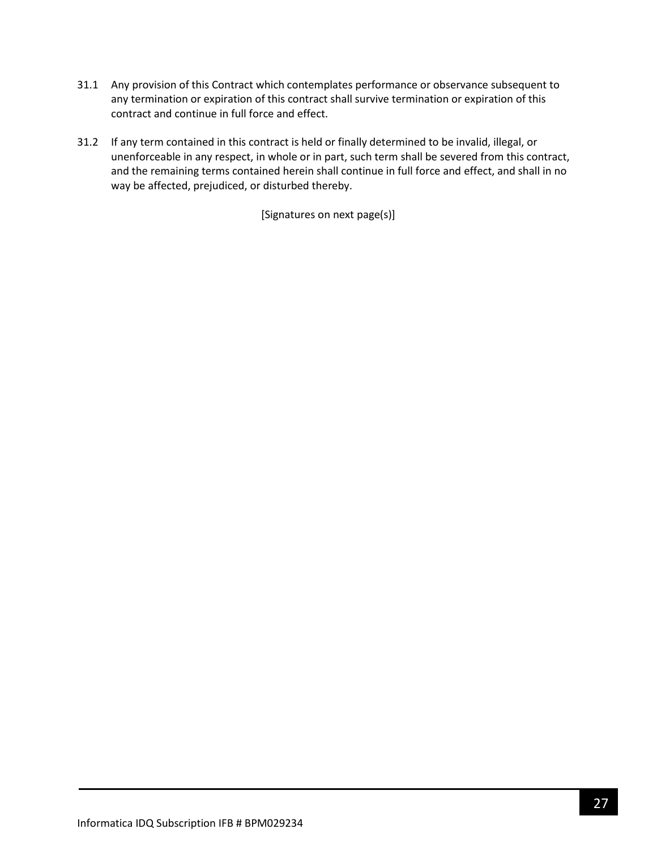- 31.1 Any provision of this Contract which contemplates performance or observance subsequent to any termination or expiration of this contract shall survive termination or expiration of this contract and continue in full force and effect.
- 31.2 If any term contained in this contract is held or finally determined to be invalid, illegal, or unenforceable in any respect, in whole or in part, such term shall be severed from this contract, and the remaining terms contained herein shall continue in full force and effect, and shall in no way be affected, prejudiced, or disturbed thereby.

[Signatures on next page(s)]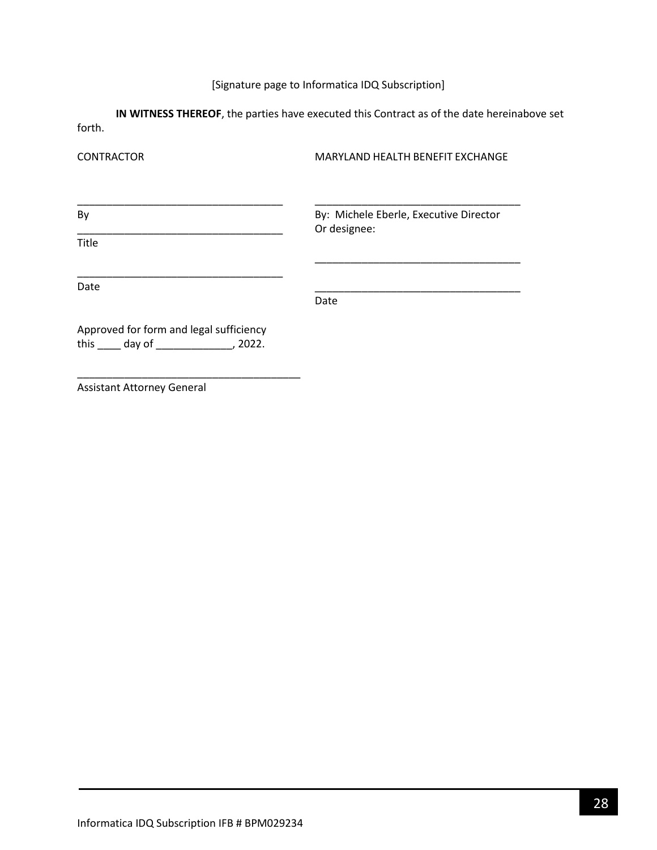# [Signature page to Informatica IDQ Subscription]

**IN WITNESS THEREOF**, the parties have executed this Contract as of the date hereinabove set forth.

| <b>CONTRACTOR</b>                                                            | MARYLAND HEALTH BENEFIT EXCHANGE                       |
|------------------------------------------------------------------------------|--------------------------------------------------------|
| By                                                                           | By: Michele Eberle, Executive Director<br>Or designee: |
| Title                                                                        |                                                        |
| Date                                                                         | Date                                                   |
| Approved for form and legal sufficiency<br>this $\_\_$ day of $\_\_$ , 2022. |                                                        |

Assistant Attorney General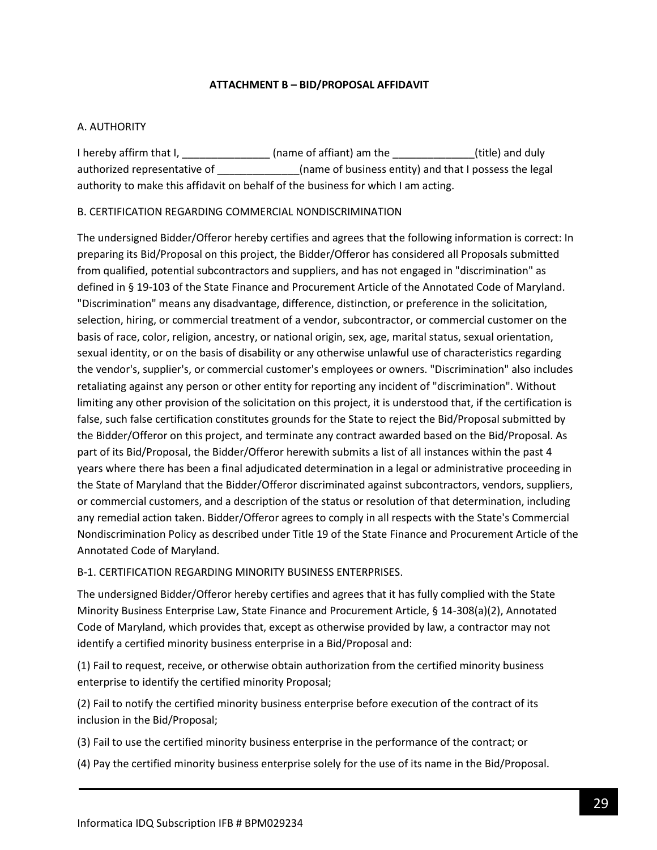### **ATTACHMENT B – BID/PROPOSAL AFFIDAVIT**

### <span id="page-28-0"></span>A. AUTHORITY

I hereby affirm that I, \_\_\_\_\_\_\_\_\_\_\_\_\_\_\_\_\_\_(name of affiant) am the \_\_\_\_\_\_\_\_\_\_\_\_\_\_(title) and duly authorized representative of \_\_\_\_\_\_\_\_\_\_\_\_\_(name of business entity) and that I possess the legal authority to make this affidavit on behalf of the business for which I am acting.

### B. CERTIFICATION REGARDING COMMERCIAL NONDISCRIMINATION

The undersigned Bidder/Offeror hereby certifies and agrees that the following information is correct: In preparing its Bid/Proposal on this project, the Bidder/Offeror has considered all Proposals submitted from qualified, potential subcontractors and suppliers, and has not engaged in "discrimination" as defined in § 19-103 of the State Finance and Procurement Article of the Annotated Code of Maryland. "Discrimination" means any disadvantage, difference, distinction, or preference in the solicitation, selection, hiring, or commercial treatment of a vendor, subcontractor, or commercial customer on the basis of race, color, religion, ancestry, or national origin, sex, age, marital status, sexual orientation, sexual identity, or on the basis of disability or any otherwise unlawful use of characteristics regarding the vendor's, supplier's, or commercial customer's employees or owners. "Discrimination" also includes retaliating against any person or other entity for reporting any incident of "discrimination". Without limiting any other provision of the solicitation on this project, it is understood that, if the certification is false, such false certification constitutes grounds for the State to reject the Bid/Proposal submitted by the Bidder/Offeror on this project, and terminate any contract awarded based on the Bid/Proposal. As part of its Bid/Proposal, the Bidder/Offeror herewith submits a list of all instances within the past 4 years where there has been a final adjudicated determination in a legal or administrative proceeding in the State of Maryland that the Bidder/Offeror discriminated against subcontractors, vendors, suppliers, or commercial customers, and a description of the status or resolution of that determination, including any remedial action taken. Bidder/Offeror agrees to comply in all respects with the State's Commercial Nondiscrimination Policy as described under Title 19 of the State Finance and Procurement Article of the Annotated Code of Maryland.

### B-1. CERTIFICATION REGARDING MINORITY BUSINESS ENTERPRISES.

The undersigned Bidder/Offeror hereby certifies and agrees that it has fully complied with the State Minority Business Enterprise Law, State Finance and Procurement Article, § 14-308(a)(2), Annotated Code of Maryland, which provides that, except as otherwise provided by law, a contractor may not identify a certified minority business enterprise in a Bid/Proposal and:

(1) Fail to request, receive, or otherwise obtain authorization from the certified minority business enterprise to identify the certified minority Proposal;

(2) Fail to notify the certified minority business enterprise before execution of the contract of its inclusion in the Bid/Proposal;

(3) Fail to use the certified minority business enterprise in the performance of the contract; or

(4) Pay the certified minority business enterprise solely for the use of its name in the Bid/Proposal.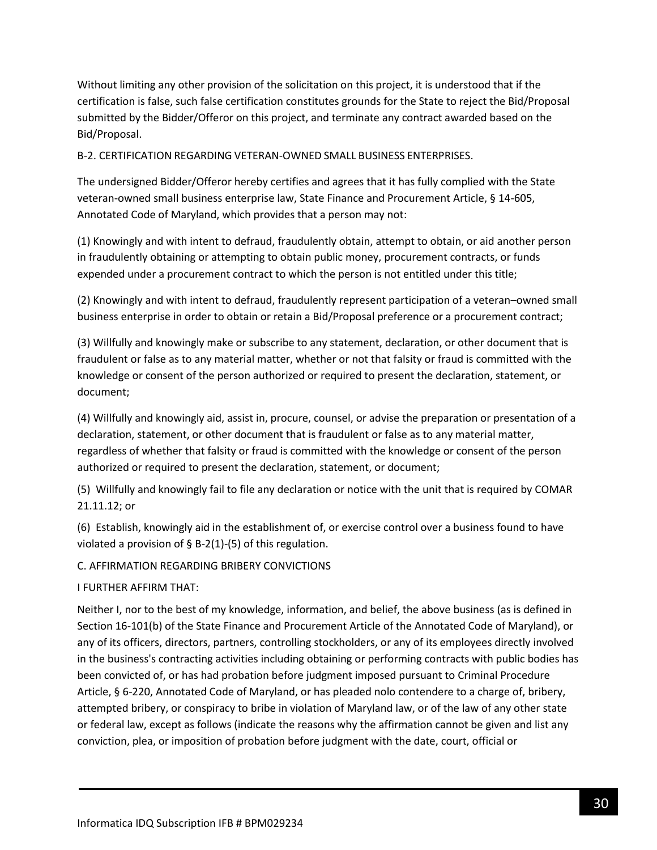Without limiting any other provision of the solicitation on this project, it is understood that if the certification is false, such false certification constitutes grounds for the State to reject the Bid/Proposal submitted by the Bidder/Offeror on this project, and terminate any contract awarded based on the Bid/Proposal.

B-2. CERTIFICATION REGARDING VETERAN-OWNED SMALL BUSINESS ENTERPRISES.

The undersigned Bidder/Offeror hereby certifies and agrees that it has fully complied with the State veteran-owned small business enterprise law, State Finance and Procurement Article, § 14-605, Annotated Code of Maryland, which provides that a person may not:

(1) Knowingly and with intent to defraud, fraudulently obtain, attempt to obtain, or aid another person in fraudulently obtaining or attempting to obtain public money, procurement contracts, or funds expended under a procurement contract to which the person is not entitled under this title;

(2) Knowingly and with intent to defraud, fraudulently represent participation of a veteran–owned small business enterprise in order to obtain or retain a Bid/Proposal preference or a procurement contract;

(3) Willfully and knowingly make or subscribe to any statement, declaration, or other document that is fraudulent or false as to any material matter, whether or not that falsity or fraud is committed with the knowledge or consent of the person authorized or required to present the declaration, statement, or document;

(4) Willfully and knowingly aid, assist in, procure, counsel, or advise the preparation or presentation of a declaration, statement, or other document that is fraudulent or false as to any material matter, regardless of whether that falsity or fraud is committed with the knowledge or consent of the person authorized or required to present the declaration, statement, or document;

(5) Willfully and knowingly fail to file any declaration or notice with the unit that is required by COMAR 21.11.12; or

(6) Establish, knowingly aid in the establishment of, or exercise control over a business found to have violated a provision of  $\S$  B-2(1)-(5) of this regulation.

C. AFFIRMATION REGARDING BRIBERY CONVICTIONS

I FURTHER AFFIRM THAT:

Neither I, nor to the best of my knowledge, information, and belief, the above business (as is defined in Section 16-101(b) of the State Finance and Procurement Article of the Annotated Code of Maryland), or any of its officers, directors, partners, controlling stockholders, or any of its employees directly involved in the business's contracting activities including obtaining or performing contracts with public bodies has been convicted of, or has had probation before judgment imposed pursuant to Criminal Procedure Article, § 6-220, Annotated Code of Maryland, or has pleaded nolo contendere to a charge of, bribery, attempted bribery, or conspiracy to bribe in violation of Maryland law, or of the law of any other state or federal law, except as follows (indicate the reasons why the affirmation cannot be given and list any conviction, plea, or imposition of probation before judgment with the date, court, official or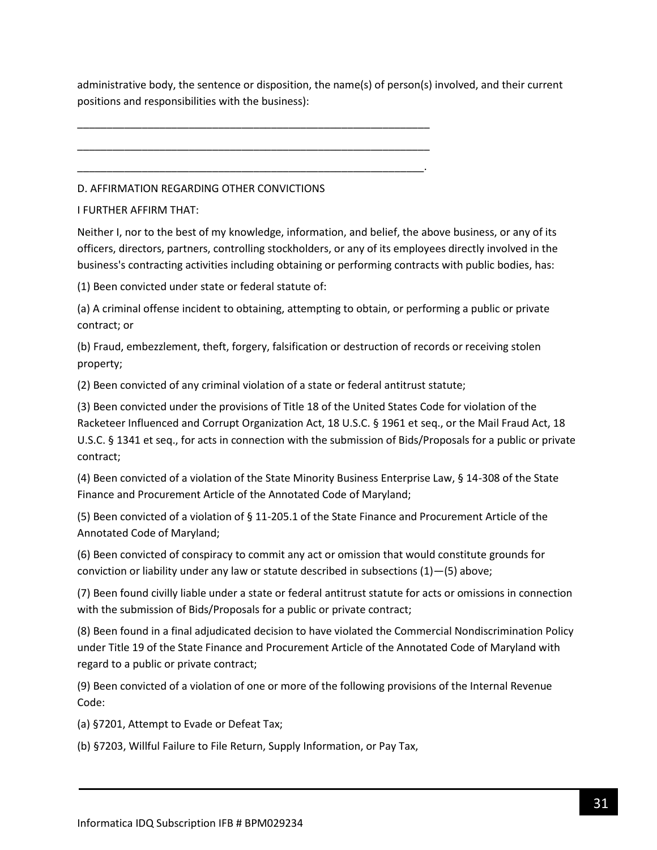administrative body, the sentence or disposition, the name(s) of person(s) involved, and their current positions and responsibilities with the business):

D. AFFIRMATION REGARDING OTHER CONVICTIONS

\_\_\_\_\_\_\_\_\_\_\_\_\_\_\_\_\_\_\_\_\_\_\_\_\_\_\_\_\_\_\_\_\_\_\_\_\_\_\_\_\_\_\_\_\_\_\_\_\_\_\_\_\_\_\_\_\_\_\_\_

\_\_\_\_\_\_\_\_\_\_\_\_\_\_\_\_\_\_\_\_\_\_\_\_\_\_\_\_\_\_\_\_\_\_\_\_\_\_\_\_\_\_\_\_\_\_\_\_\_\_\_\_\_\_\_\_\_\_\_\_

\_\_\_\_\_\_\_\_\_\_\_\_\_\_\_\_\_\_\_\_\_\_\_\_\_\_\_\_\_\_\_\_\_\_\_\_\_\_\_\_\_\_\_\_\_\_\_\_\_\_\_\_\_\_\_\_\_\_\_.

I FURTHER AFFIRM THAT:

Neither I, nor to the best of my knowledge, information, and belief, the above business, or any of its officers, directors, partners, controlling stockholders, or any of its employees directly involved in the business's contracting activities including obtaining or performing contracts with public bodies, has:

(1) Been convicted under state or federal statute of:

(a) A criminal offense incident to obtaining, attempting to obtain, or performing a public or private contract; or

(b) Fraud, embezzlement, theft, forgery, falsification or destruction of records or receiving stolen property;

(2) Been convicted of any criminal violation of a state or federal antitrust statute;

(3) Been convicted under the provisions of Title 18 of the United States Code for violation of the Racketeer Influenced and Corrupt Organization Act, 18 U.S.C. § 1961 et seq., or the Mail Fraud Act, 18 U.S.C. § 1341 et seq., for acts in connection with the submission of Bids/Proposals for a public or private contract;

(4) Been convicted of a violation of the State Minority Business Enterprise Law, § 14-308 of the State Finance and Procurement Article of the Annotated Code of Maryland;

(5) Been convicted of a violation of § 11-205.1 of the State Finance and Procurement Article of the Annotated Code of Maryland;

(6) Been convicted of conspiracy to commit any act or omission that would constitute grounds for conviction or liability under any law or statute described in subsections (1)—(5) above;

(7) Been found civilly liable under a state or federal antitrust statute for acts or omissions in connection with the submission of Bids/Proposals for a public or private contract;

(8) Been found in a final adjudicated decision to have violated the Commercial Nondiscrimination Policy under Title 19 of the State Finance and Procurement Article of the Annotated Code of Maryland with regard to a public or private contract;

(9) Been convicted of a violation of one or more of the following provisions of the Internal Revenue Code:

(a) §7201, Attempt to Evade or Defeat Tax;

(b) §7203, Willful Failure to File Return, Supply Information, or Pay Tax,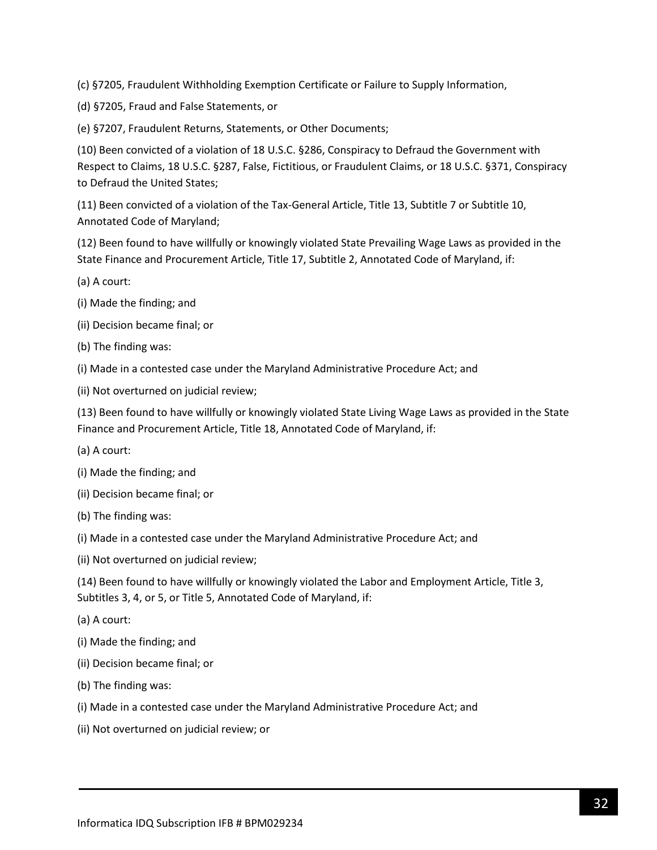(c) §7205, Fraudulent Withholding Exemption Certificate or Failure to Supply Information,

(d) §7205, Fraud and False Statements, or

(e) §7207, Fraudulent Returns, Statements, or Other Documents;

(10) Been convicted of a violation of 18 U.S.C. §286, Conspiracy to Defraud the Government with Respect to Claims, 18 U.S.C. §287, False, Fictitious, or Fraudulent Claims, or 18 U.S.C. §371, Conspiracy to Defraud the United States;

(11) Been convicted of a violation of the Tax-General Article, Title 13, Subtitle 7 or Subtitle 10, Annotated Code of Maryland;

(12) Been found to have willfully or knowingly violated State Prevailing Wage Laws as provided in the State Finance and Procurement Article, Title 17, Subtitle 2, Annotated Code of Maryland, if:

- (a) A court:
- (i) Made the finding; and
- (ii) Decision became final; or
- (b) The finding was:
- (i) Made in a contested case under the Maryland Administrative Procedure Act; and
- (ii) Not overturned on judicial review;

(13) Been found to have willfully or knowingly violated State Living Wage Laws as provided in the State Finance and Procurement Article, Title 18, Annotated Code of Maryland, if:

- (a) A court:
- (i) Made the finding; and
- (ii) Decision became final; or
- (b) The finding was:
- (i) Made in a contested case under the Maryland Administrative Procedure Act; and
- (ii) Not overturned on judicial review;

(14) Been found to have willfully or knowingly violated the Labor and Employment Article, Title 3, Subtitles 3, 4, or 5, or Title 5, Annotated Code of Maryland, if:

- (a) A court:
- (i) Made the finding; and
- (ii) Decision became final; or
- (b) The finding was:
- (i) Made in a contested case under the Maryland Administrative Procedure Act; and
- (ii) Not overturned on judicial review; or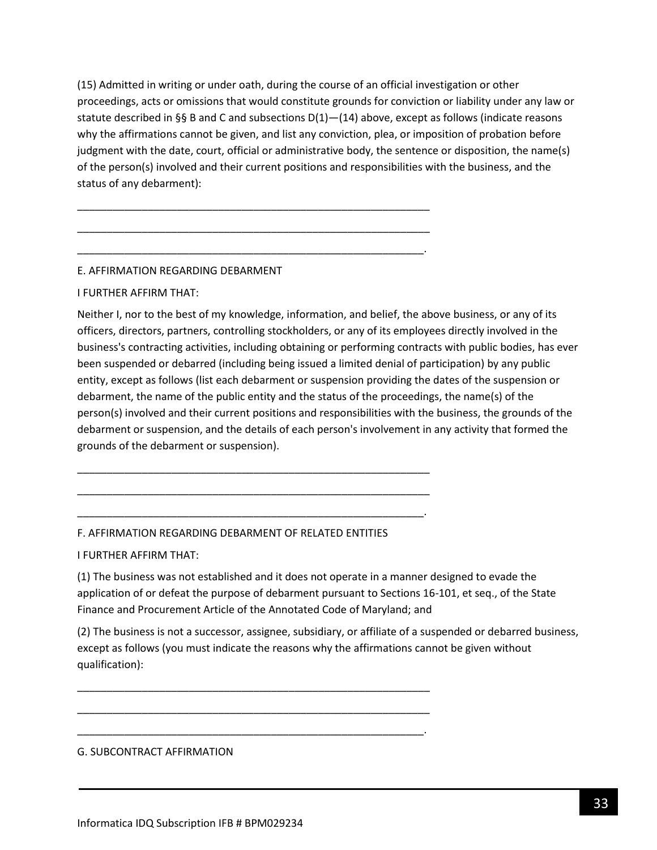(15) Admitted in writing or under oath, during the course of an official investigation or other proceedings, acts or omissions that would constitute grounds for conviction or liability under any law or statute described in §§ B and C and subsections  $D(1)$ — $(14)$  above, except as follows (indicate reasons why the affirmations cannot be given, and list any conviction, plea, or imposition of probation before judgment with the date, court, official or administrative body, the sentence or disposition, the name(s) of the person(s) involved and their current positions and responsibilities with the business, and the status of any debarment):

\_\_\_\_\_\_\_\_\_\_\_\_\_\_\_\_\_\_\_\_\_\_\_\_\_\_\_\_\_\_\_\_\_\_\_\_\_\_\_\_\_\_\_\_\_\_\_\_\_\_\_\_\_\_\_\_\_\_\_\_

\_\_\_\_\_\_\_\_\_\_\_\_\_\_\_\_\_\_\_\_\_\_\_\_\_\_\_\_\_\_\_\_\_\_\_\_\_\_\_\_\_\_\_\_\_\_\_\_\_\_\_\_\_\_\_\_\_\_\_\_

\_\_\_\_\_\_\_\_\_\_\_\_\_\_\_\_\_\_\_\_\_\_\_\_\_\_\_\_\_\_\_\_\_\_\_\_\_\_\_\_\_\_\_\_\_\_\_\_\_\_\_\_\_\_\_\_\_\_\_.

### E. AFFIRMATION REGARDING DEBARMENT

### I FURTHER AFFIRM THAT:

Neither I, nor to the best of my knowledge, information, and belief, the above business, or any of its officers, directors, partners, controlling stockholders, or any of its employees directly involved in the business's contracting activities, including obtaining or performing contracts with public bodies, has ever been suspended or debarred (including being issued a limited denial of participation) by any public entity, except as follows (list each debarment or suspension providing the dates of the suspension or debarment, the name of the public entity and the status of the proceedings, the name(s) of the person(s) involved and their current positions and responsibilities with the business, the grounds of the debarment or suspension, and the details of each person's involvement in any activity that formed the grounds of the debarment or suspension).

### F. AFFIRMATION REGARDING DEBARMENT OF RELATED ENTITIES

\_\_\_\_\_\_\_\_\_\_\_\_\_\_\_\_\_\_\_\_\_\_\_\_\_\_\_\_\_\_\_\_\_\_\_\_\_\_\_\_\_\_\_\_\_\_\_\_\_\_\_\_\_\_\_\_\_\_\_\_

\_\_\_\_\_\_\_\_\_\_\_\_\_\_\_\_\_\_\_\_\_\_\_\_\_\_\_\_\_\_\_\_\_\_\_\_\_\_\_\_\_\_\_\_\_\_\_\_\_\_\_\_\_\_\_\_\_\_\_\_

\_\_\_\_\_\_\_\_\_\_\_\_\_\_\_\_\_\_\_\_\_\_\_\_\_\_\_\_\_\_\_\_\_\_\_\_\_\_\_\_\_\_\_\_\_\_\_\_\_\_\_\_\_\_\_\_\_\_\_.

\_\_\_\_\_\_\_\_\_\_\_\_\_\_\_\_\_\_\_\_\_\_\_\_\_\_\_\_\_\_\_\_\_\_\_\_\_\_\_\_\_\_\_\_\_\_\_\_\_\_\_\_\_\_\_\_\_\_\_\_

\_\_\_\_\_\_\_\_\_\_\_\_\_\_\_\_\_\_\_\_\_\_\_\_\_\_\_\_\_\_\_\_\_\_\_\_\_\_\_\_\_\_\_\_\_\_\_\_\_\_\_\_\_\_\_\_\_\_\_\_

\_\_\_\_\_\_\_\_\_\_\_\_\_\_\_\_\_\_\_\_\_\_\_\_\_\_\_\_\_\_\_\_\_\_\_\_\_\_\_\_\_\_\_\_\_\_\_\_\_\_\_\_\_\_\_\_\_\_\_.

I FURTHER AFFIRM THAT:

(1) The business was not established and it does not operate in a manner designed to evade the application of or defeat the purpose of debarment pursuant to Sections 16-101, et seq., of the State Finance and Procurement Article of the Annotated Code of Maryland; and

(2) The business is not a successor, assignee, subsidiary, or affiliate of a suspended or debarred business, except as follows (you must indicate the reasons why the affirmations cannot be given without qualification):

#### G. SUBCONTRACT AFFIRMATION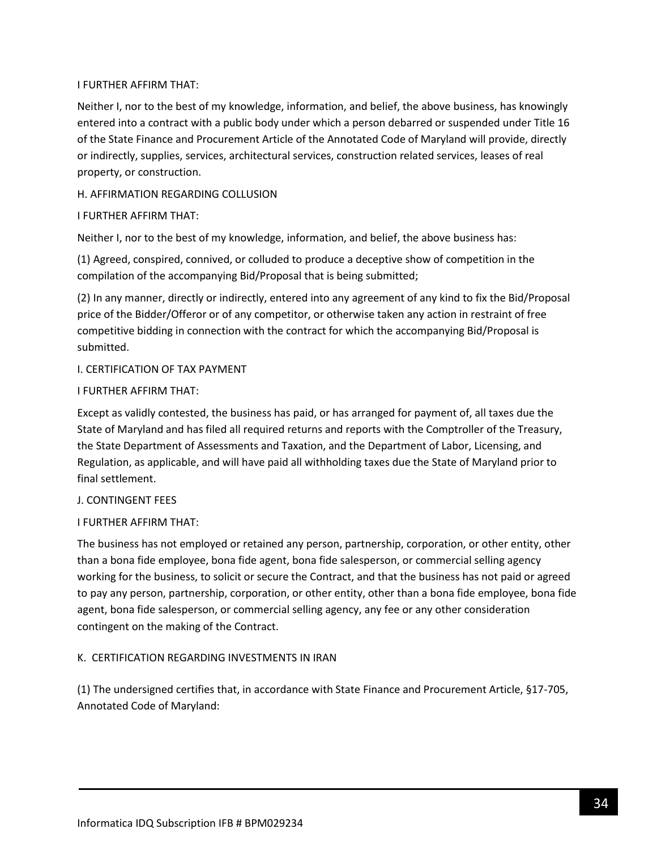### I FURTHER AFFIRM THAT:

Neither I, nor to the best of my knowledge, information, and belief, the above business, has knowingly entered into a contract with a public body under which a person debarred or suspended under Title 16 of the State Finance and Procurement Article of the Annotated Code of Maryland will provide, directly or indirectly, supplies, services, architectural services, construction related services, leases of real property, or construction.

### H. AFFIRMATION REGARDING COLLUSION

### I FURTHER AFFIRM THAT:

Neither I, nor to the best of my knowledge, information, and belief, the above business has:

(1) Agreed, conspired, connived, or colluded to produce a deceptive show of competition in the compilation of the accompanying Bid/Proposal that is being submitted;

(2) In any manner, directly or indirectly, entered into any agreement of any kind to fix the Bid/Proposal price of the Bidder/Offeror or of any competitor, or otherwise taken any action in restraint of free competitive bidding in connection with the contract for which the accompanying Bid/Proposal is submitted.

### I. CERTIFICATION OF TAX PAYMENT

### I FURTHER AFFIRM THAT:

Except as validly contested, the business has paid, or has arranged for payment of, all taxes due the State of Maryland and has filed all required returns and reports with the Comptroller of the Treasury, the State Department of Assessments and Taxation, and the Department of Labor, Licensing, and Regulation, as applicable, and will have paid all withholding taxes due the State of Maryland prior to final settlement.

### J. CONTINGENT FEES

## I FURTHER AFFIRM THAT:

The business has not employed or retained any person, partnership, corporation, or other entity, other than a bona fide employee, bona fide agent, bona fide salesperson, or commercial selling agency working for the business, to solicit or secure the Contract, and that the business has not paid or agreed to pay any person, partnership, corporation, or other entity, other than a bona fide employee, bona fide agent, bona fide salesperson, or commercial selling agency, any fee or any other consideration contingent on the making of the Contract.

## K. CERTIFICATION REGARDING INVESTMENTS IN IRAN

(1) The undersigned certifies that, in accordance with State Finance and Procurement Article, §17-705, Annotated Code of Maryland: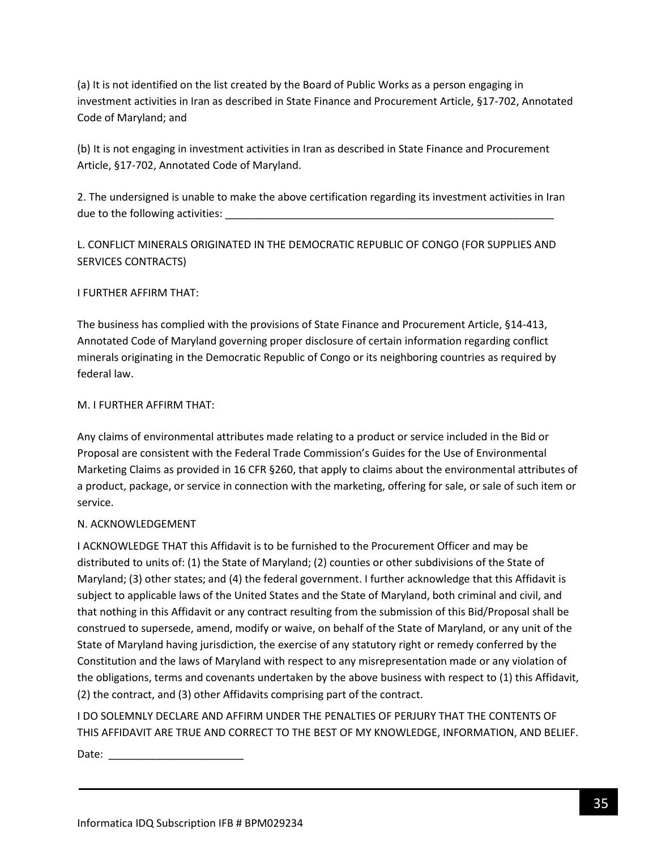(a) It is not identified on the list created by the Board of Public Works as a person engaging in investment activities in Iran as described in State Finance and Procurement Article, §17-702, Annotated Code of Maryland; and

(b) It is not engaging in investment activities in Iran as described in State Finance and Procurement Article, §17-702, Annotated Code of Maryland.

2. The undersigned is unable to make the above certification regarding its investment activities in Iran due to the following activities:

L. CONFLICT MINERALS ORIGINATED IN THE DEMOCRATIC REPUBLIC OF CONGO (FOR SUPPLIES AND SERVICES CONTRACTS)

## I FURTHER AFFIRM THAT:

The business has complied with the provisions of State Finance and Procurement Article, §14-413, Annotated Code of Maryland governing proper disclosure of certain information regarding conflict minerals originating in the Democratic Republic of Congo or its neighboring countries as required by federal law.

### M. I FURTHER AFFIRM THAT:

Any claims of environmental attributes made relating to a product or service included in the Bid or Proposal are consistent with the Federal Trade Commission's Guides for the Use of Environmental Marketing Claims as provided in 16 CFR §260, that apply to claims about the environmental attributes of a product, package, or service in connection with the marketing, offering for sale, or sale of such item or service.

## N. ACKNOWLEDGEMENT

I ACKNOWLEDGE THAT this Affidavit is to be furnished to the Procurement Officer and may be distributed to units of: (1) the State of Maryland; (2) counties or other subdivisions of the State of Maryland; (3) other states; and (4) the federal government. I further acknowledge that this Affidavit is subject to applicable laws of the United States and the State of Maryland, both criminal and civil, and that nothing in this Affidavit or any contract resulting from the submission of this Bid/Proposal shall be construed to supersede, amend, modify or waive, on behalf of the State of Maryland, or any unit of the State of Maryland having jurisdiction, the exercise of any statutory right or remedy conferred by the Constitution and the laws of Maryland with respect to any misrepresentation made or any violation of the obligations, terms and covenants undertaken by the above business with respect to (1) this Affidavit, (2) the contract, and (3) other Affidavits comprising part of the contract.

I DO SOLEMNLY DECLARE AND AFFIRM UNDER THE PENALTIES OF PERJURY THAT THE CONTENTS OF THIS AFFIDAVIT ARE TRUE AND CORRECT TO THE BEST OF MY KNOWLEDGE, INFORMATION, AND BELIEF.

Date:  $\frac{1}{\sqrt{1-\frac{1}{2}}}$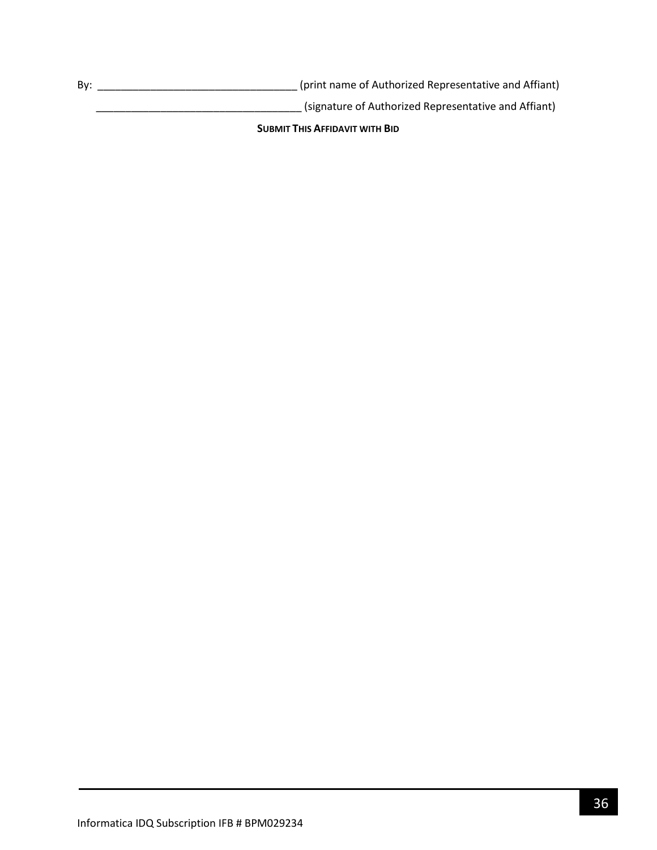By: \_\_\_\_\_\_\_\_\_\_\_\_\_\_\_\_\_\_\_\_\_\_\_\_\_\_\_\_\_\_\_\_\_\_ (print name of Authorized Representative and Affiant)

\_\_\_\_\_\_\_\_\_\_\_\_\_\_\_\_\_\_\_\_\_\_\_\_\_\_\_\_\_\_\_\_\_\_\_ (signature of Authorized Representative and Affiant)

**SUBMIT THIS AFFIDAVIT WITH BID**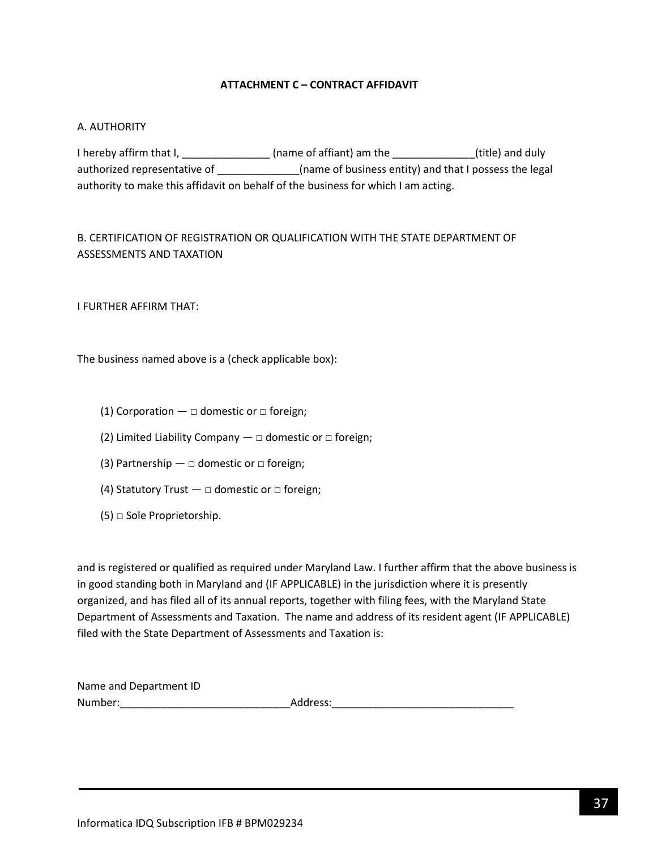### **ATTACHMENT C – CONTRACT AFFIDAVIT**

### <span id="page-36-0"></span>A. AUTHORITY

I hereby affirm that I, \_\_\_\_\_\_\_\_\_\_\_\_\_\_\_\_\_ (name of affiant) am the \_\_\_\_\_\_\_\_\_\_\_\_\_\_\_(title) and duly authorized representative of \_\_\_\_\_\_\_\_\_\_\_\_\_\_\_\_(name of business entity) and that I possess the legal authority to make this affidavit on behalf of the business for which I am acting.

# B. CERTIFICATION OF REGISTRATION OR QUALIFICATION WITH THE STATE DEPARTMENT OF ASSESSMENTS AND TAXATION

I FURTHER AFFIRM THAT:

The business named above is a (check applicable box):

- (1) Corporation  $\Box$  domestic or  $\Box$  foreign;
- (2) Limited Liability Company  $-\Box$  domestic or  $\Box$  foreign;
- (3) Partnership  $\Box$  domestic or  $\Box$  foreign;
- (4) Statutory Trust  $\Box$  domestic or  $\Box$  foreign;
- $(5)$   $\Box$  Sole Proprietorship.

and is registered or qualified as required under Maryland Law. I further affirm that the above business is in good standing both in Maryland and (IF APPLICABLE) in the jurisdiction where it is presently organized, and has filed all of its annual reports, together with filing fees, with the Maryland State Department of Assessments and Taxation. The name and address of its resident agent (IF APPLICABLE) filed with the State Department of Assessments and Taxation is:

| Name and Department ID |          |
|------------------------|----------|
| Number:                | Address: |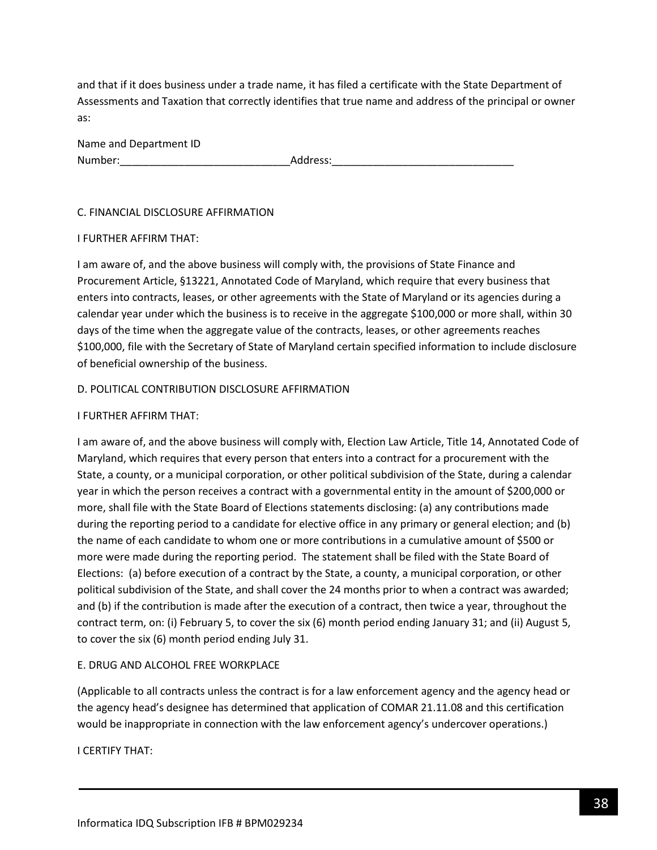and that if it does business under a trade name, it has filed a certificate with the State Department of Assessments and Taxation that correctly identifies that true name and address of the principal or owner as:

| Name and Department ID |          |
|------------------------|----------|
| Number:                | Address: |

### C. FINANCIAL DISCLOSURE AFFIRMATION

### I FURTHER AFFIRM THAT:

I am aware of, and the above business will comply with, the provisions of State Finance and Procurement Article, §13221, Annotated Code of Maryland, which require that every business that enters into contracts, leases, or other agreements with the State of Maryland or its agencies during a calendar year under which the business is to receive in the aggregate \$100,000 or more shall, within 30 days of the time when the aggregate value of the contracts, leases, or other agreements reaches \$100,000, file with the Secretary of State of Maryland certain specified information to include disclosure of beneficial ownership of the business.

### D. POLITICAL CONTRIBUTION DISCLOSURE AFFIRMATION

### I FURTHER AFFIRM THAT:

I am aware of, and the above business will comply with, Election Law Article, Title 14, Annotated Code of Maryland, which requires that every person that enters into a contract for a procurement with the State, a county, or a municipal corporation, or other political subdivision of the State, during a calendar year in which the person receives a contract with a governmental entity in the amount of \$200,000 or more, shall file with the State Board of Elections statements disclosing: (a) any contributions made during the reporting period to a candidate for elective office in any primary or general election; and (b) the name of each candidate to whom one or more contributions in a cumulative amount of \$500 or more were made during the reporting period. The statement shall be filed with the State Board of Elections: (a) before execution of a contract by the State, a county, a municipal corporation, or other political subdivision of the State, and shall cover the 24 months prior to when a contract was awarded; and (b) if the contribution is made after the execution of a contract, then twice a year, throughout the contract term, on: (i) February 5, to cover the six (6) month period ending January 31; and (ii) August 5, to cover the six (6) month period ending July 31.

## E. DRUG AND ALCOHOL FREE WORKPLACE

(Applicable to all contracts unless the contract is for a law enforcement agency and the agency head or the agency head's designee has determined that application of COMAR 21.11.08 and this certification would be inappropriate in connection with the law enforcement agency's undercover operations.)

I CERTIFY THAT: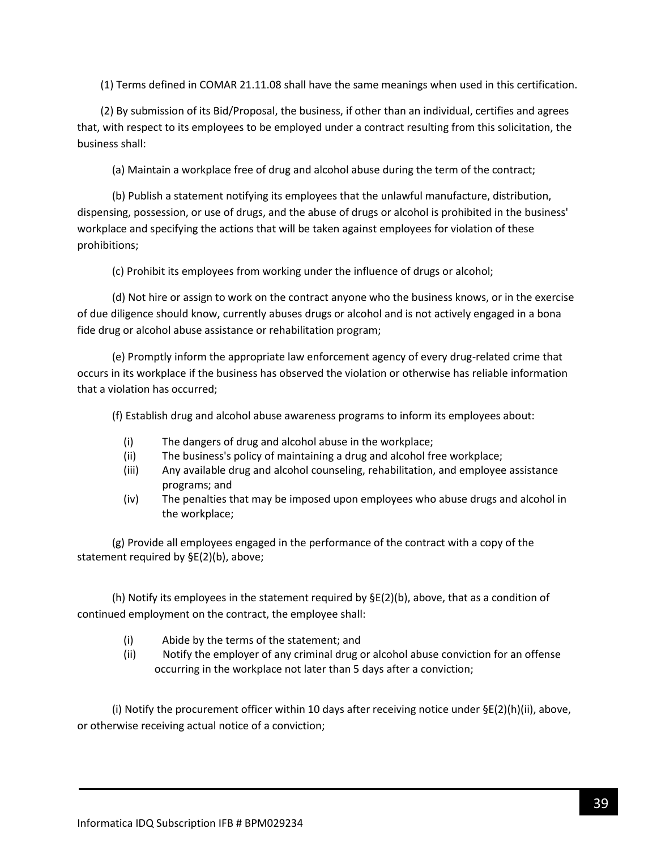(1) Terms defined in COMAR 21.11.08 shall have the same meanings when used in this certification.

(2) By submission of its Bid/Proposal, the business, if other than an individual, certifies and agrees that, with respect to its employees to be employed under a contract resulting from this solicitation, the business shall:

(a) Maintain a workplace free of drug and alcohol abuse during the term of the contract;

(b) Publish a statement notifying its employees that the unlawful manufacture, distribution, dispensing, possession, or use of drugs, and the abuse of drugs or alcohol is prohibited in the business' workplace and specifying the actions that will be taken against employees for violation of these prohibitions;

(c) Prohibit its employees from working under the influence of drugs or alcohol;

(d) Not hire or assign to work on the contract anyone who the business knows, or in the exercise of due diligence should know, currently abuses drugs or alcohol and is not actively engaged in a bona fide drug or alcohol abuse assistance or rehabilitation program;

(e) Promptly inform the appropriate law enforcement agency of every drug-related crime that occurs in its workplace if the business has observed the violation or otherwise has reliable information that a violation has occurred;

(f) Establish drug and alcohol abuse awareness programs to inform its employees about:

- (i) The dangers of drug and alcohol abuse in the workplace;
- (ii) The business's policy of maintaining a drug and alcohol free workplace;
- (iii) Any available drug and alcohol counseling, rehabilitation, and employee assistance programs; and
- (iv) The penalties that may be imposed upon employees who abuse drugs and alcohol in the workplace;

(g) Provide all employees engaged in the performance of the contract with a copy of the statement required by §E(2)(b), above;

(h) Notify its employees in the statement required by  $\Sigma(2)$ (b), above, that as a condition of continued employment on the contract, the employee shall:

- (i) Abide by the terms of the statement; and
- (ii) Notify the employer of any criminal drug or alcohol abuse conviction for an offense occurring in the workplace not later than 5 days after a conviction;

(i) Notify the procurement officer within 10 days after receiving notice under  $\Sigma(2)(h)(ii)$ , above, or otherwise receiving actual notice of a conviction;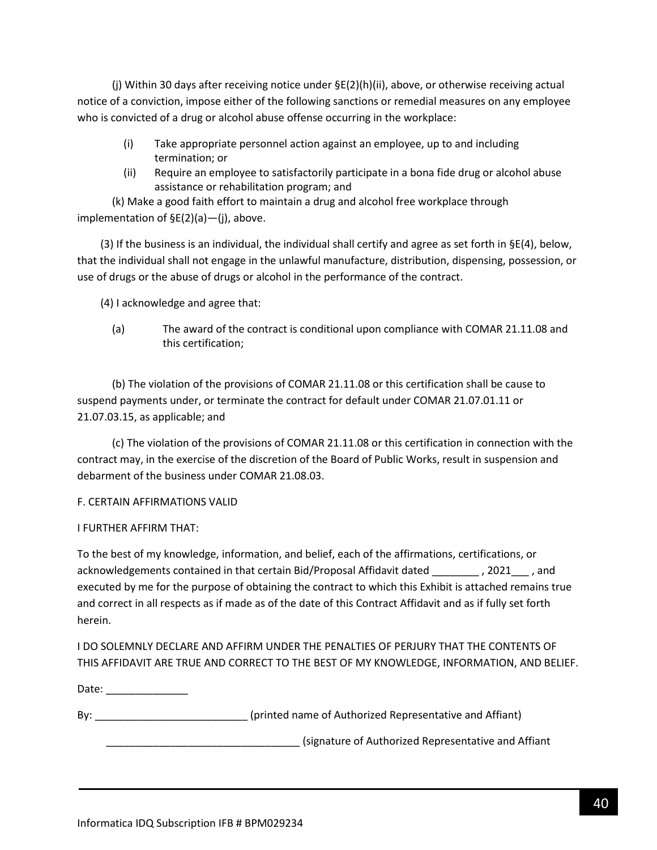(j) Within 30 days after receiving notice under §E(2)(h)(ii), above, or otherwise receiving actual notice of a conviction, impose either of the following sanctions or remedial measures on any employee who is convicted of a drug or alcohol abuse offense occurring in the workplace:

- (i) Take appropriate personnel action against an employee, up to and including termination; or
- (ii) Require an employee to satisfactorily participate in a bona fide drug or alcohol abuse assistance or rehabilitation program; and

(k) Make a good faith effort to maintain a drug and alcohol free workplace through implementation of §E(2)(a)—(j), above.

(3) If the business is an individual, the individual shall certify and agree as set forth in  $\S E(4)$ , below, that the individual shall not engage in the unlawful manufacture, distribution, dispensing, possession, or use of drugs or the abuse of drugs or alcohol in the performance of the contract.

(4) I acknowledge and agree that:

(a) The award of the contract is conditional upon compliance with COMAR 21.11.08 and this certification;

(b) The violation of the provisions of COMAR 21.11.08 or this certification shall be cause to suspend payments under, or terminate the contract for default under COMAR 21.07.01.11 or 21.07.03.15, as applicable; and

(c) The violation of the provisions of COMAR 21.11.08 or this certification in connection with the contract may, in the exercise of the discretion of the Board of Public Works, result in suspension and debarment of the business under COMAR 21.08.03.

## F. CERTAIN AFFIRMATIONS VALID

### I FURTHER AFFIRM THAT:

To the best of my knowledge, information, and belief, each of the affirmations, certifications, or acknowledgements contained in that certain Bid/Proposal Affidavit dated \_\_\_\_\_\_\_\_ , 2021\_\_\_ , and executed by me for the purpose of obtaining the contract to which this Exhibit is attached remains true and correct in all respects as if made as of the date of this Contract Affidavit and as if fully set forth herein.

I DO SOLEMNLY DECLARE AND AFFIRM UNDER THE PENALTIES OF PERJURY THAT THE CONTENTS OF THIS AFFIDAVIT ARE TRUE AND CORRECT TO THE BEST OF MY KNOWLEDGE, INFORMATION, AND BELIEF.

Date: \_\_\_\_\_\_\_\_\_\_\_\_\_\_\_

By: example and the state of authorized Representative and Affiant)

\_\_\_\_\_\_\_\_\_\_\_\_\_\_\_\_\_\_\_\_\_\_\_\_\_\_\_\_\_\_\_\_\_ (signature of Authorized Representative and Affiant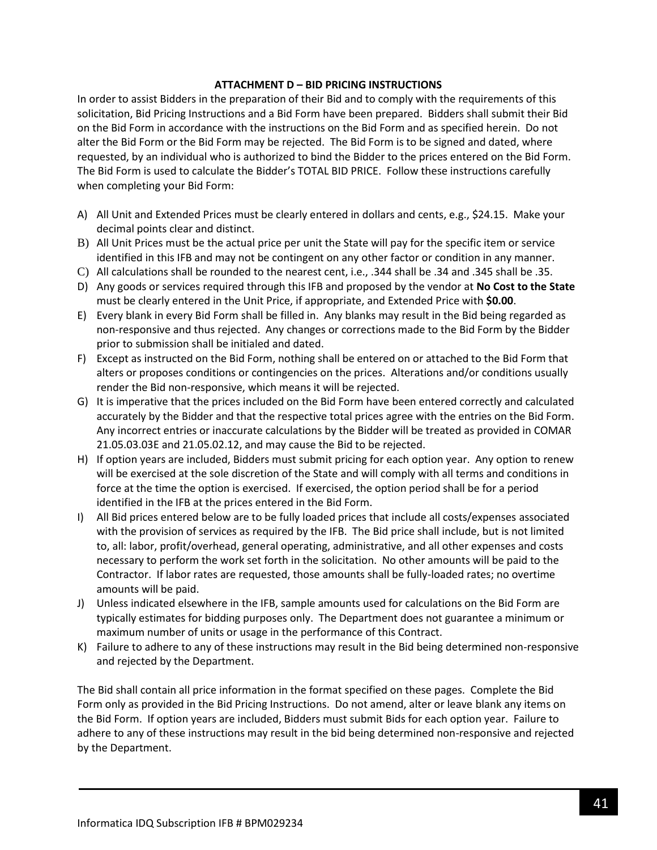### **ATTACHMENT D – BID PRICING INSTRUCTIONS**

In order to assist Bidders in the preparation of their Bid and to comply with the requirements of this solicitation, Bid Pricing Instructions and a Bid Form have been prepared. Bidders shall submit their Bid on the Bid Form in accordance with the instructions on the Bid Form and as specified herein. Do not alter the Bid Form or the Bid Form may be rejected. The Bid Form is to be signed and dated, where requested, by an individual who is authorized to bind the Bidder to the prices entered on the Bid Form. The Bid Form is used to calculate the Bidder's TOTAL BID PRICE. Follow these instructions carefully when completing your Bid Form:

- A) All Unit and Extended Prices must be clearly entered in dollars and cents, e.g., \$24.15. Make your decimal points clear and distinct.
- B) All Unit Prices must be the actual price per unit the State will pay for the specific item or service identified in this IFB and may not be contingent on any other factor or condition in any manner.
- C) All calculations shall be rounded to the nearest cent, i.e., .344 shall be .34 and .345 shall be .35.
- D) Any goods or services required through this IFB and proposed by the vendor at **No Cost to the State** must be clearly entered in the Unit Price, if appropriate, and Extended Price with **\$0.00**.
- E) Every blank in every Bid Form shall be filled in. Any blanks may result in the Bid being regarded as non-responsive and thus rejected. Any changes or corrections made to the Bid Form by the Bidder prior to submission shall be initialed and dated.
- F) Except as instructed on the Bid Form, nothing shall be entered on or attached to the Bid Form that alters or proposes conditions or contingencies on the prices. Alterations and/or conditions usually render the Bid non-responsive, which means it will be rejected.
- G) It is imperative that the prices included on the Bid Form have been entered correctly and calculated accurately by the Bidder and that the respective total prices agree with the entries on the Bid Form. Any incorrect entries or inaccurate calculations by the Bidder will be treated as provided in COMAR 21.05.03.03E and 21.05.02.12, and may cause the Bid to be rejected.
- H) If option years are included, Bidders must submit pricing for each option year. Any option to renew will be exercised at the sole discretion of the State and will comply with all terms and conditions in force at the time the option is exercised. If exercised, the option period shall be for a period identified in the IFB at the prices entered in the Bid Form.
- I) All Bid prices entered below are to be fully loaded prices that include all costs/expenses associated with the provision of services as required by the IFB. The Bid price shall include, but is not limited to, all: labor, profit/overhead, general operating, administrative, and all other expenses and costs necessary to perform the work set forth in the solicitation. No other amounts will be paid to the Contractor. If labor rates are requested, those amounts shall be fully-loaded rates; no overtime amounts will be paid.
- J) Unless indicated elsewhere in the IFB, sample amounts used for calculations on the Bid Form are typically estimates for bidding purposes only. The Department does not guarantee a minimum or maximum number of units or usage in the performance of this Contract.
- K) Failure to adhere to any of these instructions may result in the Bid being determined non-responsive and rejected by the Department.

The Bid shall contain all price information in the format specified on these pages. Complete the Bid Form only as provided in the Bid Pricing Instructions. Do not amend, alter or leave blank any items on the Bid Form. If option years are included, Bidders must submit Bids for each option year. Failure to adhere to any of these instructions may result in the bid being determined non-responsive and rejected by the Department.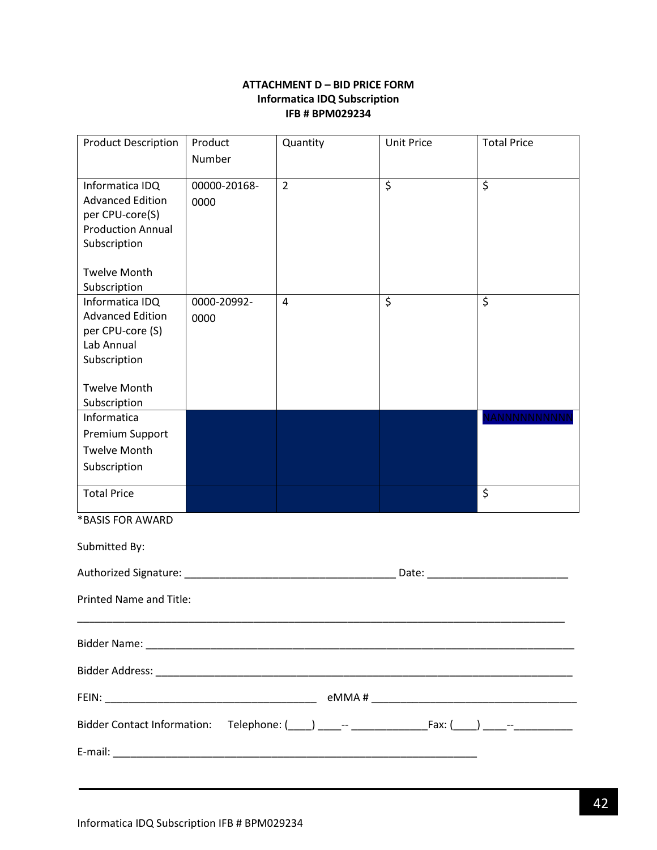### **ATTACHMENT D – BID PRICE FORM Informatica IDQ Subscription IFB # BPM029234**

<span id="page-41-0"></span>

| <b>Product Description</b>     | Product      | Quantity       | <b>Unit Price</b> | <b>Total Price</b> |
|--------------------------------|--------------|----------------|-------------------|--------------------|
|                                | Number       |                |                   |                    |
| Informatica IDQ                | 00000-20168- | $\overline{2}$ | $\overline{\xi}$  | $\overline{\xi}$   |
| <b>Advanced Edition</b>        | 0000         |                |                   |                    |
| per CPU-core(S)                |              |                |                   |                    |
| <b>Production Annual</b>       |              |                |                   |                    |
| Subscription                   |              |                |                   |                    |
| <b>Twelve Month</b>            |              |                |                   |                    |
| Subscription                   |              |                |                   |                    |
| Informatica IDQ                | 0000-20992-  | 4              | \$                | \$                 |
| <b>Advanced Edition</b>        | 0000         |                |                   |                    |
| per CPU-core (S)               |              |                |                   |                    |
| Lab Annual                     |              |                |                   |                    |
| Subscription                   |              |                |                   |                    |
| <b>Twelve Month</b>            |              |                |                   |                    |
| Subscription                   |              |                |                   |                    |
| Informatica                    |              |                |                   | VANNNNNNNNN        |
| Premium Support                |              |                |                   |                    |
| <b>Twelve Month</b>            |              |                |                   |                    |
| Subscription                   |              |                |                   |                    |
| <b>Total Price</b>             |              |                |                   | $\zeta$            |
| *BASIS FOR AWARD               |              |                |                   |                    |
| Submitted By:                  |              |                |                   |                    |
|                                |              |                | Date: Date:       |                    |
|                                |              |                |                   |                    |
| <b>Printed Name and Title:</b> |              |                |                   |                    |
|                                |              |                |                   |                    |
|                                |              |                |                   |                    |
|                                |              |                |                   |                    |
|                                |              |                |                   |                    |
|                                |              |                |                   |                    |
|                                |              |                |                   |                    |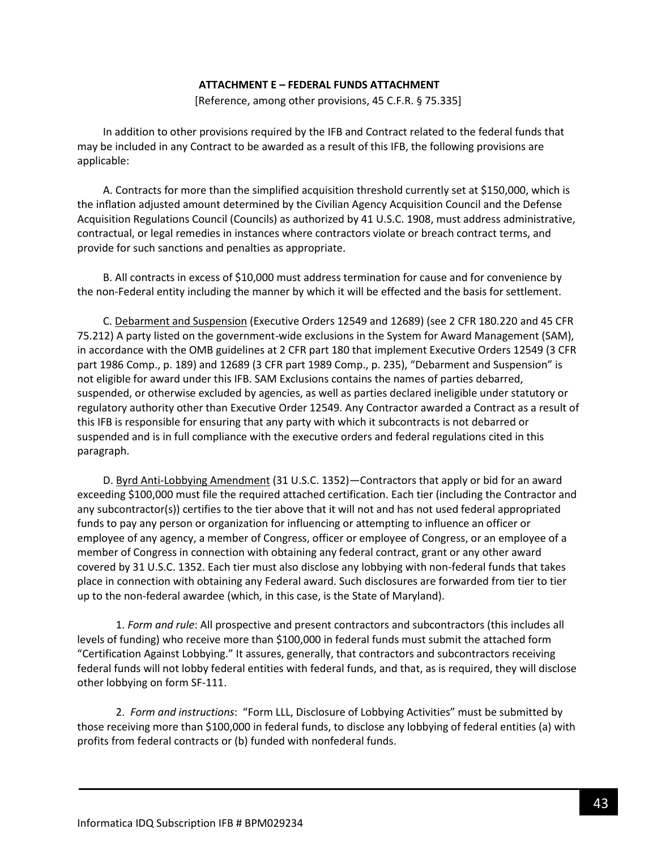#### **ATTACHMENT E – FEDERAL FUNDS ATTACHMENT**

[Reference, among other provisions, 45 C.F.R. § 75.335]

<span id="page-42-0"></span>In addition to other provisions required by the IFB and Contract related to the federal funds that may be included in any Contract to be awarded as a result of this IFB, the following provisions are applicable:

A. Contracts for more than the simplified acquisition threshold currently set at \$150,000, which is the inflation adjusted amount determined by the Civilian Agency Acquisition Council and the Defense Acquisition Regulations Council (Councils) as authorized by 41 U.S.C. 1908, must address administrative, contractual, or legal remedies in instances where contractors violate or breach contract terms, and provide for such sanctions and penalties as appropriate.

B. All contracts in excess of \$10,000 must address termination for cause and for convenience by the non-Federal entity including the manner by which it will be effected and the basis for settlement.

C. Debarment and Suspension (Executive Orders 12549 and 12689) (see 2 CFR 180.220 and 45 CFR 75.212) A party listed on the government-wide exclusions in the System for Award Management (SAM), in accordance with the OMB guidelines at 2 CFR part 180 that implement Executive Orders 12549 (3 CFR part 1986 Comp., p. 189) and 12689 (3 CFR part 1989 Comp., p. 235), "Debarment and Suspension" is not eligible for award under this IFB. SAM Exclusions contains the names of parties debarred, suspended, or otherwise excluded by agencies, as well as parties declared ineligible under statutory or regulatory authority other than Executive Order 12549. Any Contractor awarded a Contract as a result of this IFB is responsible for ensuring that any party with which it subcontracts is not debarred or suspended and is in full compliance with the executive orders and federal regulations cited in this paragraph.

D. Byrd Anti-Lobbying Amendment (31 U.S.C. 1352)—Contractors that apply or bid for an award exceeding \$100,000 must file the required attached certification. Each tier (including the Contractor and any subcontractor(s)) certifies to the tier above that it will not and has not used federal appropriated funds to pay any person or organization for influencing or attempting to influence an officer or employee of any agency, a member of Congress, officer or employee of Congress, or an employee of a member of Congress in connection with obtaining any federal contract, grant or any other award covered by 31 U.S.C. 1352. Each tier must also disclose any lobbying with non-federal funds that takes place in connection with obtaining any Federal award. Such disclosures are forwarded from tier to tier up to the non-federal awardee (which, in this case, is the State of Maryland).

1. *Form and rule*: All prospective and present contractors and subcontractors (this includes all levels of funding) who receive more than \$100,000 in federal funds must submit the attached form "Certification Against Lobbying." It assures, generally, that contractors and subcontractors receiving federal funds will not lobby federal entities with federal funds, and that, as is required, they will disclose other lobbying on form SF-111.

2. *Form and instructions*: "Form LLL, Disclosure of Lobbying Activities" must be submitted by those receiving more than \$100,000 in federal funds, to disclose any lobbying of federal entities (a) with profits from federal contracts or (b) funded with nonfederal funds.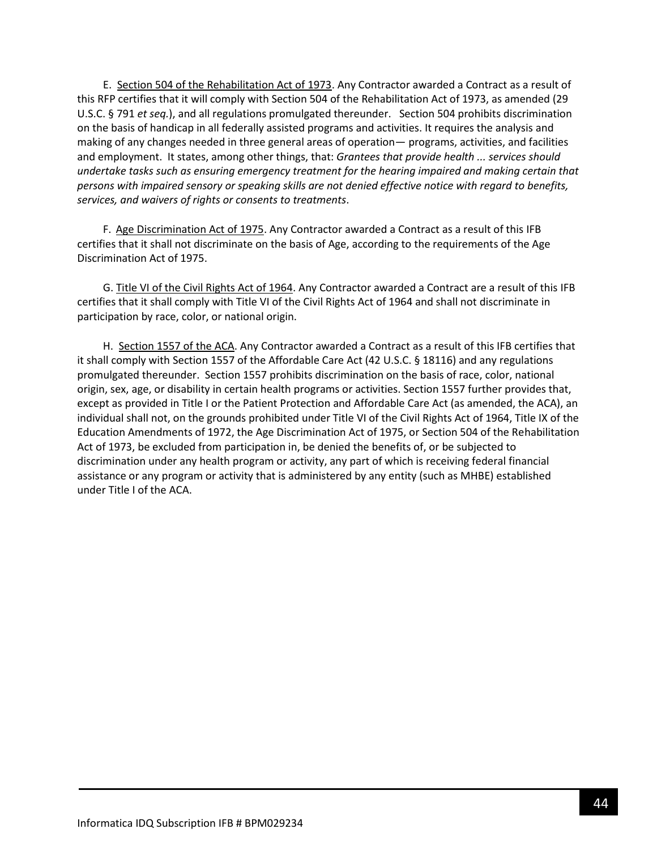E. Section 504 of the Rehabilitation Act of 1973. Any Contractor awarded a Contract as a result of this RFP certifies that it will comply with Section 504 of the Rehabilitation Act of 1973, as amended (29 U.S.C. § 791 *et seq.*), and all regulations promulgated thereunder. Section 504 prohibits discrimination on the basis of handicap in all federally assisted programs and activities. It requires the analysis and making of any changes needed in three general areas of operation— programs, activities, and facilities and employment. It states, among other things, that: *Grantees that provide health ... services should undertake tasks such as ensuring emergency treatment for the hearing impaired and making certain that persons with impaired sensory or speaking skills are not denied effective notice with regard to benefits, services, and waivers of rights or consents to treatments*.

F. Age Discrimination Act of 1975. Any Contractor awarded a Contract as a result of this IFB certifies that it shall not discriminate on the basis of Age, according to the requirements of the Age Discrimination Act of 1975.

G. Title VI of the Civil Rights Act of 1964. Any Contractor awarded a Contract are a result of this IFB certifies that it shall comply with Title VI of the Civil Rights Act of 1964 and shall not discriminate in participation by race, color, or national origin.

H. Section 1557 of the ACA. Any Contractor awarded a Contract as a result of this IFB certifies that it shall comply with Section 1557 of the Affordable Care Act (42 U.S.C. § 18116) and any regulations promulgated thereunder. Section 1557 prohibits discrimination on the basis of race, color, national origin, sex, age, or disability in certain health programs or activities. Section 1557 further provides that, except as provided in Title I or the Patient Protection and Affordable Care Act (as amended, the ACA), an individual shall not, on the grounds prohibited under Title VI of the Civil Rights Act of 1964, Title IX of the Education Amendments of 1972, the Age Discrimination Act of 1975, or Section 504 of the Rehabilitation Act of 1973, be excluded from participation in, be denied the benefits of, or be subjected to discrimination under any health program or activity, any part of which is receiving federal financial assistance or any program or activity that is administered by any entity (such as MHBE) established under Title I of the ACA.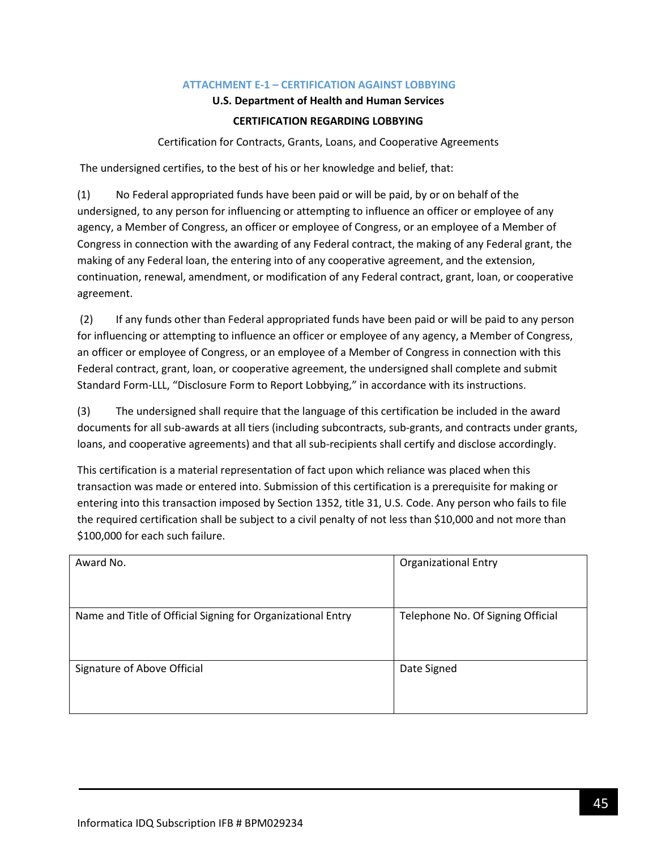### **ATTACHMENT E-1 – CERTIFICATION AGAINST LOBBYING**

### **U.S. Department of Health and Human Services**

### **CERTIFICATION REGARDING LOBBYING**

Certification for Contracts, Grants, Loans, and Cooperative Agreements

<span id="page-44-0"></span>The undersigned certifies, to the best of his or her knowledge and belief, that:

(1) No Federal appropriated funds have been paid or will be paid, by or on behalf of the undersigned, to any person for influencing or attempting to influence an officer or employee of any agency, a Member of Congress, an officer or employee of Congress, or an employee of a Member of Congress in connection with the awarding of any Federal contract, the making of any Federal grant, the making of any Federal loan, the entering into of any cooperative agreement, and the extension, continuation, renewal, amendment, or modification of any Federal contract, grant, loan, or cooperative agreement.

(2) If any funds other than Federal appropriated funds have been paid or will be paid to any person for influencing or attempting to influence an officer or employee of any agency, a Member of Congress, an officer or employee of Congress, or an employee of a Member of Congress in connection with this Federal contract, grant, loan, or cooperative agreement, the undersigned shall complete and submit Standard Form-LLL, "Disclosure Form to Report Lobbying," in accordance with its instructions.

(3) The undersigned shall require that the language of this certification be included in the award documents for all sub-awards at all tiers (including subcontracts, sub-grants, and contracts under grants, loans, and cooperative agreements) and that all sub-recipients shall certify and disclose accordingly.

This certification is a material representation of fact upon which reliance was placed when this transaction was made or entered into. Submission of this certification is a prerequisite for making or entering into this transaction imposed by Section 1352, title 31, U.S. Code. Any person who fails to file the required certification shall be subject to a civil penalty of not less than \$10,000 and not more than \$100,000 for each such failure.

| Award No.                                                   | <b>Organizational Entry</b>       |
|-------------------------------------------------------------|-----------------------------------|
| Name and Title of Official Signing for Organizational Entry | Telephone No. Of Signing Official |
| Signature of Above Official                                 | Date Signed                       |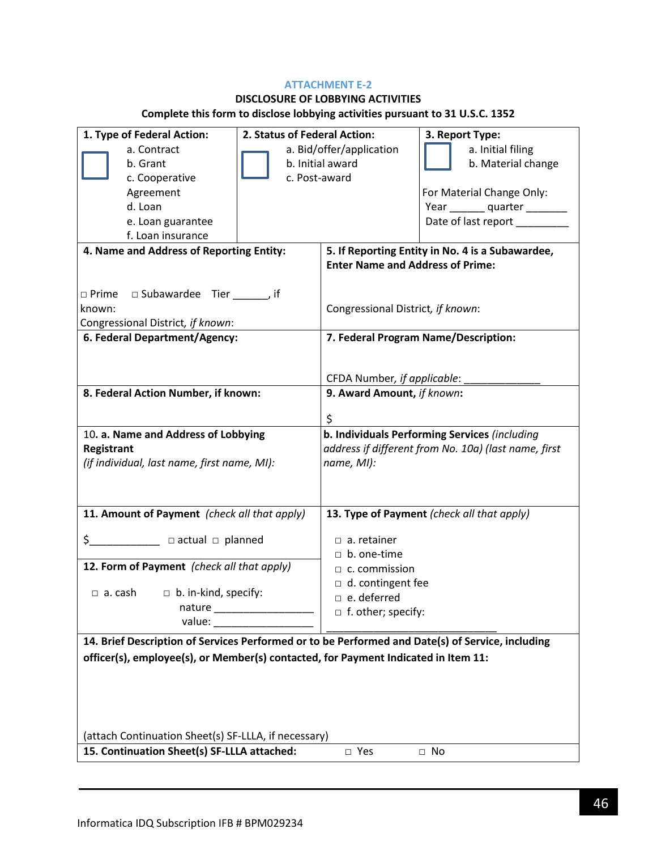### **ATTACHMENT E-2**

# **DISCLOSURE OF LOBBYING ACTIVITIES**

# **Complete this form to disclose lobbying activities pursuant to 31 U.S.C. 1352**

| 1. Type of Federal Action:                                                                          | 2. Status of Federal Action: |                                                      | 3. Report Type:                               |
|-----------------------------------------------------------------------------------------------------|------------------------------|------------------------------------------------------|-----------------------------------------------|
| a. Contract                                                                                         | a. Bid/offer/application     |                                                      | a. Initial filing                             |
| b. Grant                                                                                            | b. Initial award             |                                                      | b. Material change                            |
| c. Cooperative                                                                                      | c. Post-award                |                                                      |                                               |
| Agreement                                                                                           |                              |                                                      | For Material Change Only:                     |
| d. Loan                                                                                             |                              |                                                      | Year ________ quarter ________                |
| e. Loan guarantee                                                                                   |                              |                                                      | Date of last report _________                 |
| f. Loan insurance                                                                                   |                              |                                                      |                                               |
| 4. Name and Address of Reporting Entity:                                                            |                              | 5. If Reporting Entity in No. 4 is a Subawardee,     |                                               |
|                                                                                                     |                              | <b>Enter Name and Address of Prime:</b>              |                                               |
|                                                                                                     |                              |                                                      |                                               |
| $\Box$ Prime $\Box$ Subawardee Tier ______, if                                                      |                              |                                                      |                                               |
| known:                                                                                              |                              | Congressional District, if known:                    |                                               |
| Congressional District, if known:                                                                   |                              |                                                      |                                               |
| 6. Federal Department/Agency:                                                                       |                              |                                                      | 7. Federal Program Name/Description:          |
|                                                                                                     |                              |                                                      |                                               |
|                                                                                                     |                              | CFDA Number, if applicable:                          |                                               |
| 8. Federal Action Number, if known:                                                                 |                              | 9. Award Amount, if known:                           |                                               |
|                                                                                                     |                              |                                                      |                                               |
|                                                                                                     |                              | \$                                                   |                                               |
| 10. a. Name and Address of Lobbying                                                                 |                              |                                                      | b. Individuals Performing Services (including |
| Registrant                                                                                          |                              | address if different from No. 10a) (last name, first |                                               |
| (if individual, last name, first name, MI):                                                         |                              | name, MI):                                           |                                               |
|                                                                                                     |                              |                                                      |                                               |
|                                                                                                     |                              |                                                      |                                               |
| 11. Amount of Payment (check all that apply)                                                        |                              |                                                      | 13. Type of Payment (check all that apply)    |
|                                                                                                     |                              |                                                      |                                               |
| \$______________ □ actual □ planned                                                                 |                              | $\Box$ a. retainer                                   |                                               |
| 12. Form of Payment (check all that apply)                                                          |                              | $\Box$ b. one-time                                   |                                               |
|                                                                                                     |                              | $\Box$ c. commission                                 |                                               |
| $\Box$ a. cash $\Box$ b. in-kind, specify:                                                          |                              | $\Box$ d. contingent fee<br>$\Box$ e. deferred       |                                               |
| nature                                                                                              |                              | $\Box$ f. other; specify:                            |                                               |
|                                                                                                     |                              |                                                      |                                               |
| 14. Brief Description of Services Performed or to be Performed and Date(s) of Service, including    |                              |                                                      |                                               |
| officer(s), employee(s), or Member(s) contacted, for Payment Indicated in Item 11:                  |                              |                                                      |                                               |
|                                                                                                     |                              |                                                      |                                               |
|                                                                                                     |                              |                                                      |                                               |
|                                                                                                     |                              |                                                      |                                               |
|                                                                                                     |                              |                                                      |                                               |
|                                                                                                     |                              |                                                      |                                               |
| (attach Continuation Sheet(s) SF-LLLA, if necessary)<br>15. Continuation Sheet(s) SF-LLLA attached: |                              |                                                      |                                               |
|                                                                                                     |                              | □ Yes                                                | $\Box$ No                                     |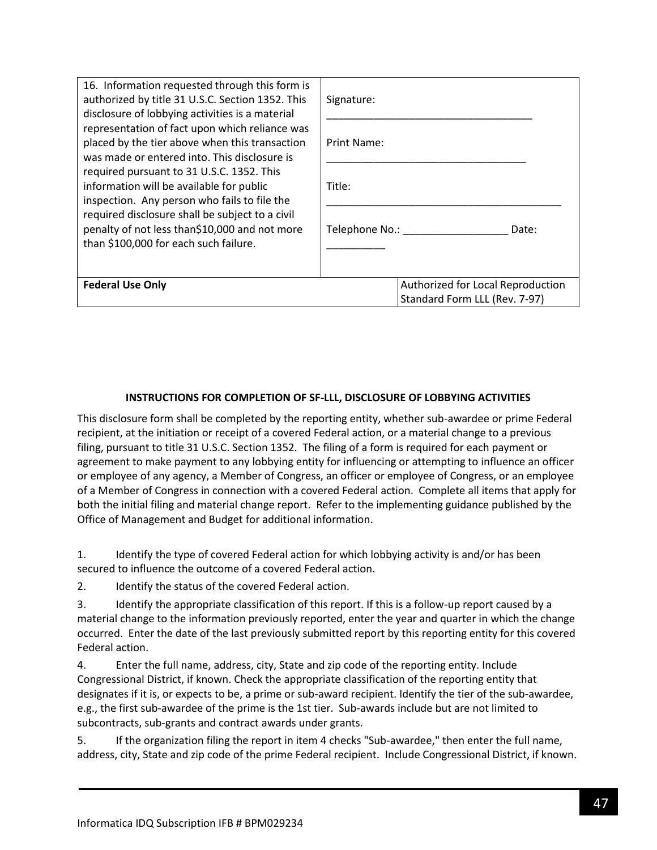| 16. Information requested through this form is<br>authorized by title 31 U.S.C. Section 1352. This<br>disclosure of lobbying activities is a material                                                                                                                                                                                                                                                                                  | Signature:                                                         |  |  |
|----------------------------------------------------------------------------------------------------------------------------------------------------------------------------------------------------------------------------------------------------------------------------------------------------------------------------------------------------------------------------------------------------------------------------------------|--------------------------------------------------------------------|--|--|
| representation of fact upon which reliance was<br>placed by the tier above when this transaction<br>was made or entered into. This disclosure is<br>required pursuant to 31 U.S.C. 1352. This<br>information will be available for public<br>inspection. Any person who fails to file the<br>required disclosure shall be subject to a civil<br>penalty of not less than\$10,000 and not more<br>than \$100,000 for each such failure. | Print Name:                                                        |  |  |
|                                                                                                                                                                                                                                                                                                                                                                                                                                        | Title:                                                             |  |  |
|                                                                                                                                                                                                                                                                                                                                                                                                                                        | Telephone No.:<br>Date:                                            |  |  |
| <b>Federal Use Only</b>                                                                                                                                                                                                                                                                                                                                                                                                                | Authorized for Local Reproduction<br>Standard Form LLL (Rev. 7-97) |  |  |

### **INSTRUCTIONS FOR COMPLETION OF SF-LLL, DISCLOSURE OF LOBBYING ACTIVITIES**

This disclosure form shall be completed by the reporting entity, whether sub-awardee or prime Federal recipient, at the initiation or receipt of a covered Federal action, or a material change to a previous filing, pursuant to title 31 U.S.C. Section 1352. The filing of a form is required for each payment or agreement to make payment to any lobbying entity for influencing or attempting to influence an officer or employee of any agency, a Member of Congress, an officer or employee of Congress, or an employee of a Member of Congress in connection with a covered Federal action. Complete all items that apply for both the initial filing and material change report. Refer to the implementing guidance published by the Office of Management and Budget for additional information.

1. Identify the type of covered Federal action for which lobbying activity is and/or has been secured to influence the outcome of a covered Federal action.

2. Identify the status of the covered Federal action.

3. Identify the appropriate classification of this report. If this is a follow-up report caused by a material change to the information previously reported, enter the year and quarter in which the change occurred. Enter the date of the last previously submitted report by this reporting entity for this covered Federal action.

4. Enter the full name, address, city, State and zip code of the reporting entity. Include Congressional District, if known. Check the appropriate classification of the reporting entity that designates if it is, or expects to be, a prime or sub-award recipient. Identify the tier of the sub-awardee, e.g., the first sub-awardee of the prime is the 1st tier. Sub-awards include but are not limited to subcontracts, sub-grants and contract awards under grants.

5. If the organization filing the report in item 4 checks "Sub-awardee," then enter the full name, address, city, State and zip code of the prime Federal recipient. Include Congressional District, if known.